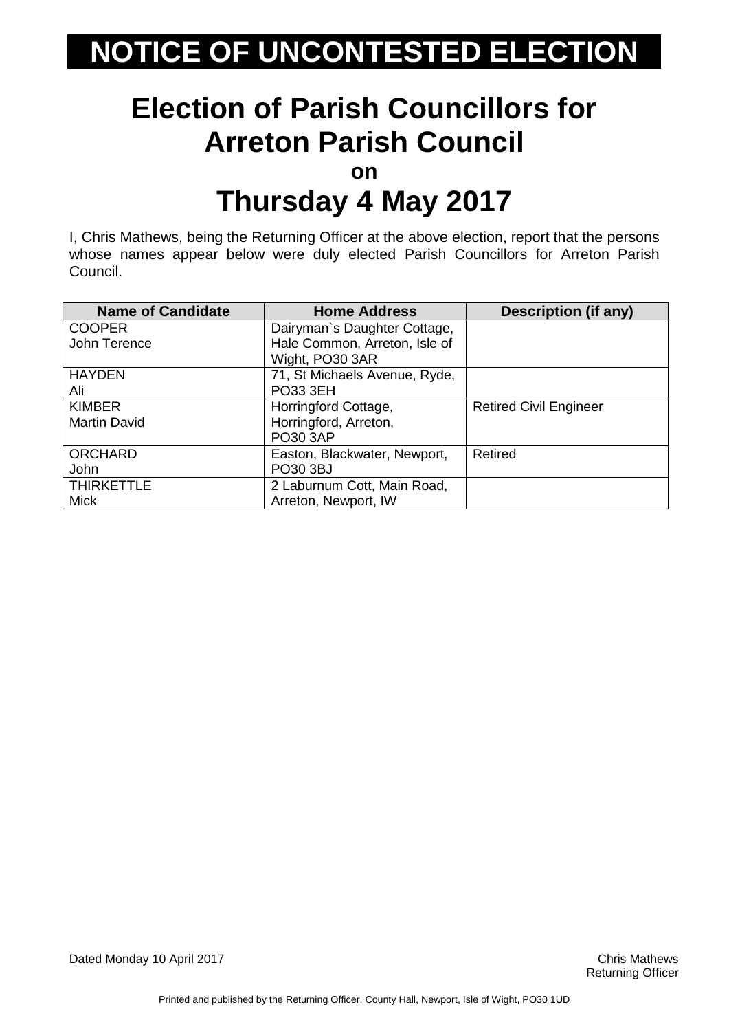### **Election of Parish Councillors for Arreton Parish Council**

**on**

### **Thursday 4 May 2017**

I, Chris Mathews, being the Returning Officer at the above election, report that the persons whose names appear below were duly elected Parish Councillors for Arreton Parish Council.

| <b>Name of Candidate</b> | <b>Home Address</b>           | <b>Description (if any)</b>   |
|--------------------------|-------------------------------|-------------------------------|
| <b>COOPER</b>            | Dairyman's Daughter Cottage,  |                               |
| John Terence             | Hale Common, Arreton, Isle of |                               |
|                          | Wight, PO30 3AR               |                               |
| <b>HAYDEN</b>            | 71, St Michaels Avenue, Ryde, |                               |
| Ali                      | <b>PO33 3EH</b>               |                               |
| <b>KIMBER</b>            | Horringford Cottage,          | <b>Retired Civil Engineer</b> |
| <b>Martin David</b>      | Horringford, Arreton,         |                               |
|                          | PO30 3AP                      |                               |
| <b>ORCHARD</b>           | Easton, Blackwater, Newport,  | Retired                       |
| John                     | PO30 3BJ                      |                               |
| <b>THIRKETTLE</b>        | 2 Laburnum Cott, Main Road,   |                               |
| <b>Mick</b>              | Arreton, Newport, IW          |                               |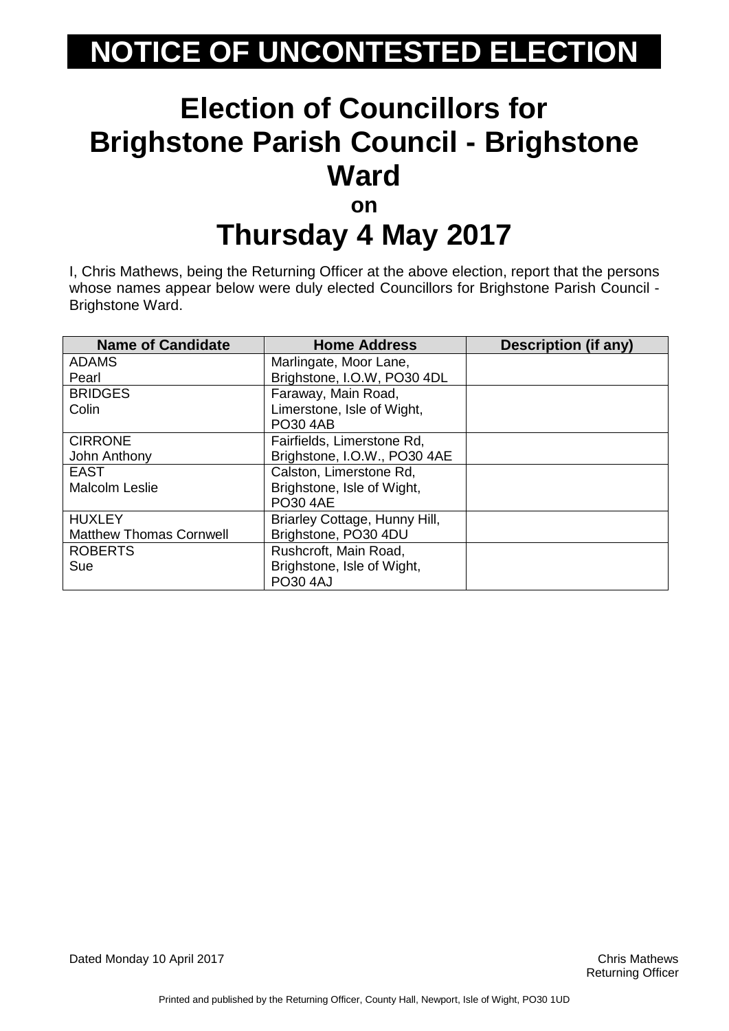#### **Election of Councillors for Brighstone Parish Council - Brighstone Ward on**

# **Thursday 4 May 2017**

I, Chris Mathews, being the Returning Officer at the above election, report that the persons whose names appear below were duly elected Councillors for Brighstone Parish Council - Brighstone Ward.

| <b>Name of Candidate</b>       | <b>Home Address</b>           | <b>Description (if any)</b> |
|--------------------------------|-------------------------------|-----------------------------|
| <b>ADAMS</b>                   | Marlingate, Moor Lane,        |                             |
| Pearl                          | Brighstone, I.O.W, PO30 4DL   |                             |
| <b>BRIDGES</b>                 | Faraway, Main Road,           |                             |
| Colin                          | Limerstone, Isle of Wight,    |                             |
|                                | <b>PO30 4AB</b>               |                             |
| <b>CIRRONE</b>                 | Fairfields, Limerstone Rd,    |                             |
| John Anthony                   | Brighstone, I.O.W., PO30 4AE  |                             |
| <b>EAST</b>                    | Calston, Limerstone Rd,       |                             |
| <b>Malcolm Leslie</b>          | Brighstone, Isle of Wight,    |                             |
|                                | <b>PO30 4AE</b>               |                             |
| <b>HUXLEY</b>                  | Briarley Cottage, Hunny Hill, |                             |
| <b>Matthew Thomas Cornwell</b> | Brighstone, PO30 4DU          |                             |
| <b>ROBERTS</b>                 | Rushcroft, Main Road,         |                             |
| Sue                            | Brighstone, Isle of Wight,    |                             |
|                                | <b>PO30 4AJ</b>               |                             |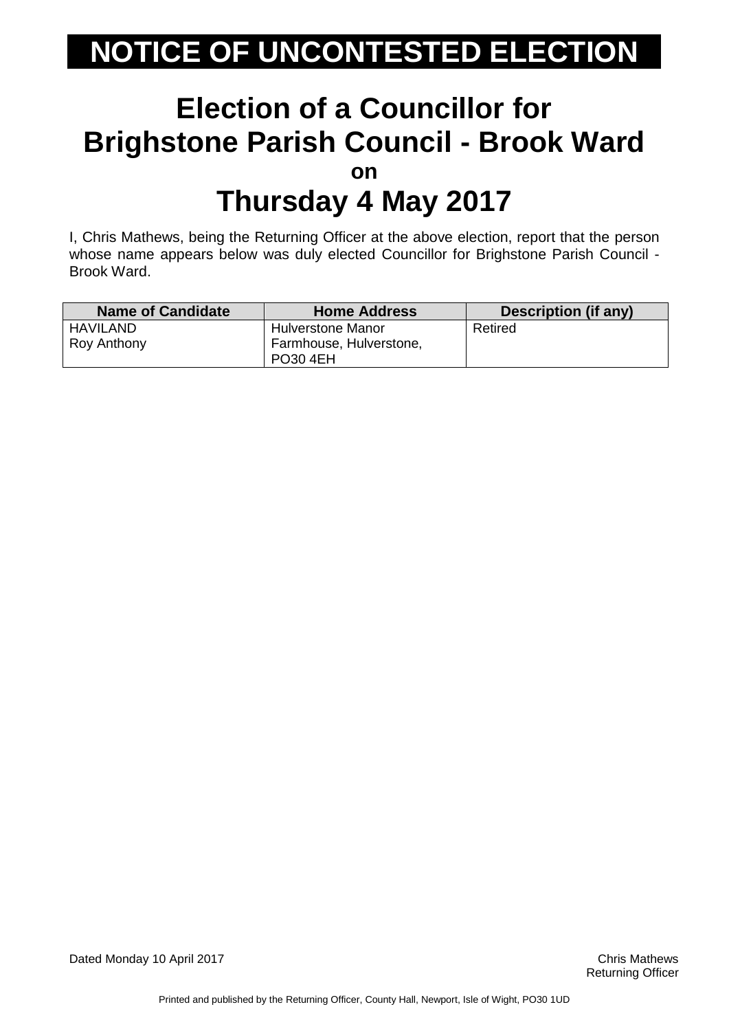#### **Election of a Councillor for Brighstone Parish Council - Brook Ward on Thursday 4 May 2017**

I, Chris Mathews, being the Returning Officer at the above election, report that the person whose name appears below was duly elected Councillor for Brighstone Parish Council - Brook Ward.

| <b>Name of Candidate</b> | <b>Home Address</b>      | <b>Description (if any)</b> |
|--------------------------|--------------------------|-----------------------------|
| HAVILAND                 | <b>Hulverstone Manor</b> | Retired                     |
| Roy Anthony              | Farmhouse, Hulverstone,  |                             |
|                          | <b>PO30 4EH</b>          |                             |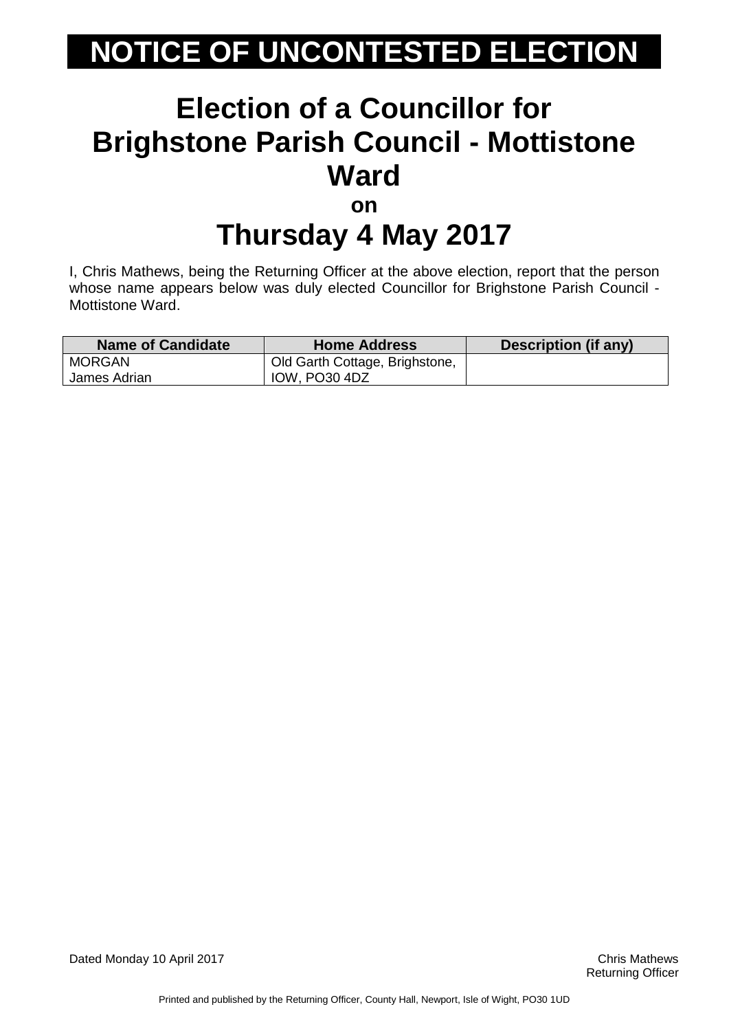#### **Election of a Councillor for Brighstone Parish Council - Mottistone Ward on**

# **Thursday 4 May 2017**

I, Chris Mathews, being the Returning Officer at the above election, report that the person whose name appears below was duly elected Councillor for Brighstone Parish Council - Mottistone Ward.

| Name of Candidate | <b>Home Address</b>            | Description (if any) |
|-------------------|--------------------------------|----------------------|
| MORGAN            | Old Garth Cottage, Brighstone, |                      |
| James Adrian      | IOW, PO30 4DZ                  |                      |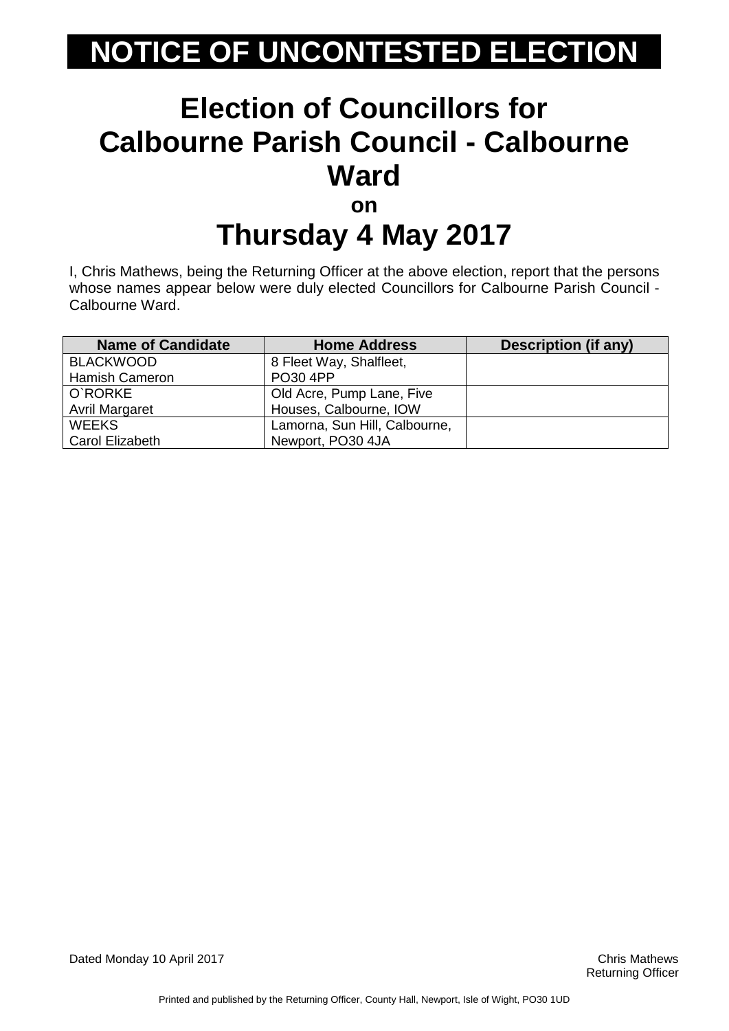#### **Election of Councillors for Calbourne Parish Council - Calbourne Ward on**

# **Thursday 4 May 2017**

I, Chris Mathews, being the Returning Officer at the above election, report that the persons whose names appear below were duly elected Councillors for Calbourne Parish Council - Calbourne Ward.

| <b>Name of Candidate</b> | <b>Home Address</b>           | <b>Description (if any)</b> |
|--------------------------|-------------------------------|-----------------------------|
| <b>BLACKWOOD</b>         | 8 Fleet Way, Shalfleet,       |                             |
| <b>Hamish Cameron</b>    | PO30 4PP                      |                             |
| O`RORKE                  | Old Acre, Pump Lane, Five     |                             |
| <b>Avril Margaret</b>    | Houses, Calbourne, IOW        |                             |
| <b>WEEKS</b>             | Lamorna, Sun Hill, Calbourne, |                             |
| <b>Carol Elizabeth</b>   | Newport, PO30 4JA             |                             |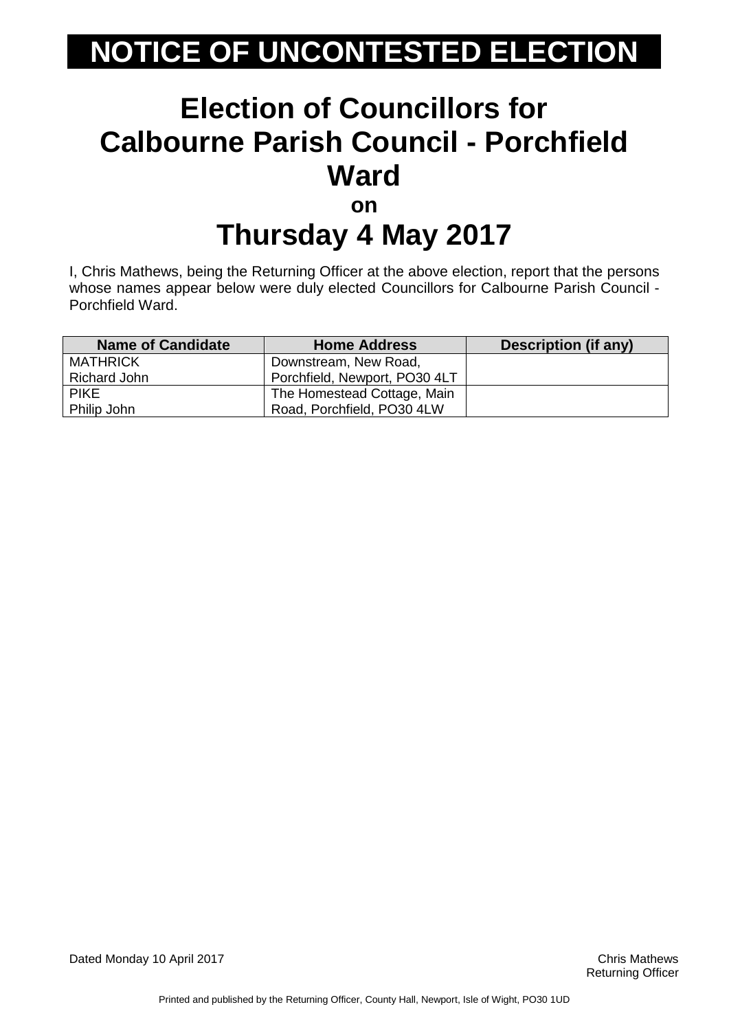### **Election of Councillors for Calbourne Parish Council - Porchfield Ward on**

### **Thursday 4 May 2017**

I, Chris Mathews, being the Returning Officer at the above election, report that the persons whose names appear below were duly elected Councillors for Calbourne Parish Council - Porchfield Ward.

| <b>Name of Candidate</b> | <b>Home Address</b>           | Description (if any) |
|--------------------------|-------------------------------|----------------------|
| <b>MATHRICK</b>          | Downstream, New Road,         |                      |
| Richard John             | Porchfield, Newport, PO30 4LT |                      |
| <b>PIKE</b>              | The Homestead Cottage, Main   |                      |
| Philip John              | Road, Porchfield, PO30 4LW    |                      |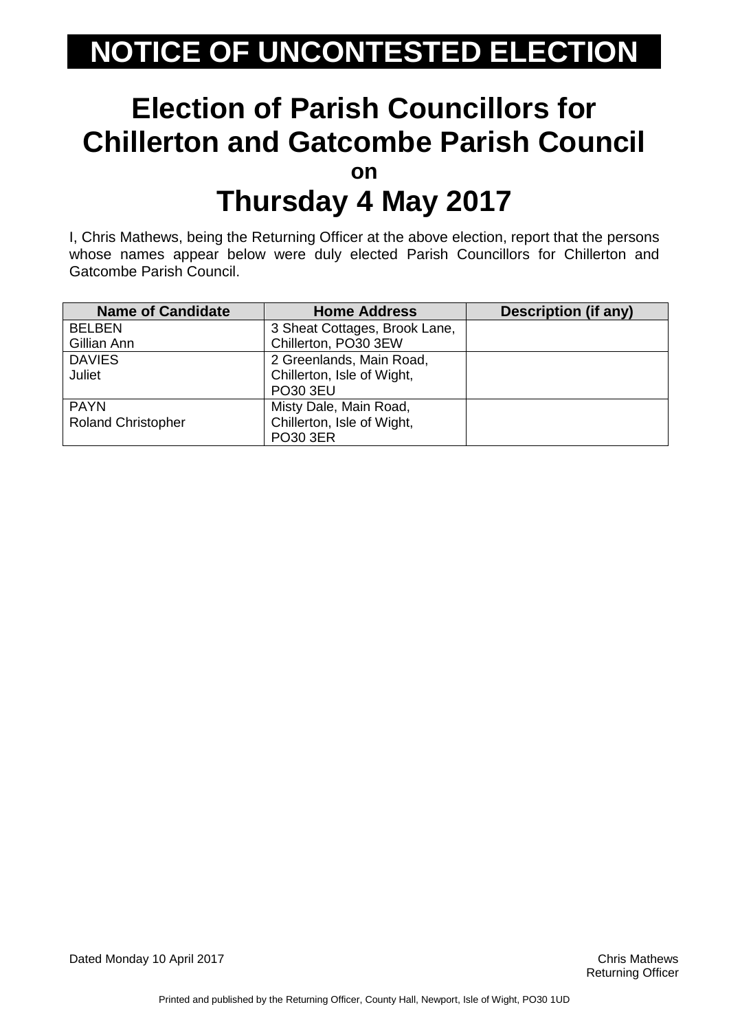#### **Election of Parish Councillors for Chillerton and Gatcombe Parish Council on Thursday 4 May 2017**

I, Chris Mathews, being the Returning Officer at the above election, report that the persons whose names appear below were duly elected Parish Councillors for Chillerton and Gatcombe Parish Council.

| <b>Name of Candidate</b>  | <b>Home Address</b>           | <b>Description (if any)</b> |
|---------------------------|-------------------------------|-----------------------------|
| <b>BELBEN</b>             | 3 Sheat Cottages, Brook Lane, |                             |
| Gillian Ann               | Chillerton, PO30 3EW          |                             |
| <b>DAVIES</b>             | 2 Greenlands, Main Road,      |                             |
| <b>Juliet</b>             | Chillerton, Isle of Wight,    |                             |
|                           | PO30 3EU                      |                             |
| <b>PAYN</b>               | Misty Dale, Main Road,        |                             |
| <b>Roland Christopher</b> | Chillerton, Isle of Wight,    |                             |
|                           | <b>PO30 3ER</b>               |                             |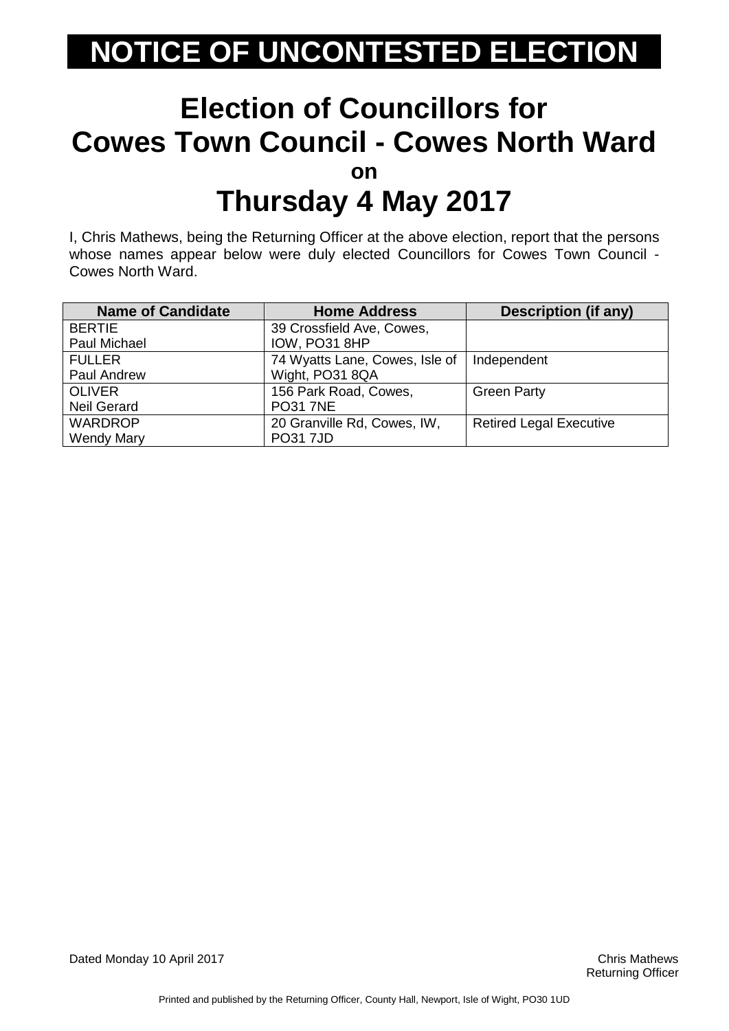#### **Election of Councillors for Cowes Town Council - Cowes North Ward on Thursday 4 May 2017**

I, Chris Mathews, being the Returning Officer at the above election, report that the persons whose names appear below were duly elected Councillors for Cowes Town Council - Cowes North Ward.

| <b>Name of Candidate</b> | <b>Home Address</b>            | Description (if any)           |
|--------------------------|--------------------------------|--------------------------------|
| <b>BERTIE</b>            | 39 Crossfield Ave, Cowes,      |                                |
| Paul Michael             | IOW, PO31 8HP                  |                                |
| <b>FULLER</b>            | 74 Wyatts Lane, Cowes, Isle of | Independent                    |
| Paul Andrew              | Wight, PO31 8QA                |                                |
| <b>OLIVER</b>            | 156 Park Road, Cowes,          | <b>Green Party</b>             |
| <b>Neil Gerard</b>       | <b>PO31 7NE</b>                |                                |
| <b>WARDROP</b>           | 20 Granville Rd, Cowes, IW,    | <b>Retired Legal Executive</b> |
| <b>Wendy Mary</b>        | <b>PO317JD</b>                 |                                |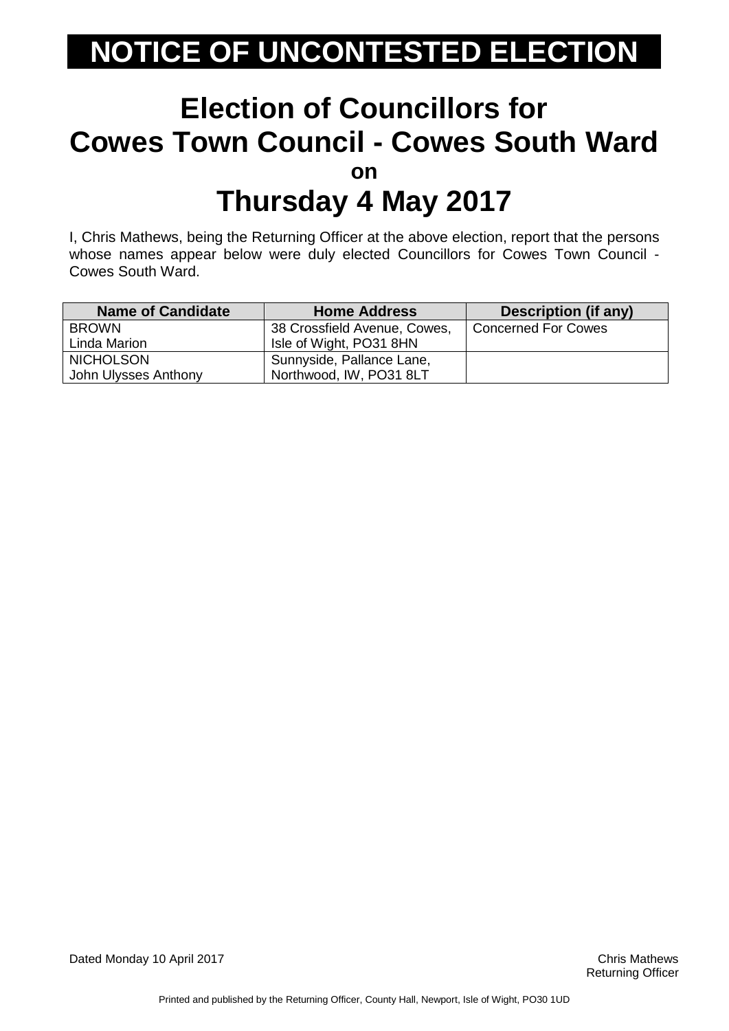#### **Election of Councillors for Cowes Town Council - Cowes South Ward on Thursday 4 May 2017**

I, Chris Mathews, being the Returning Officer at the above election, report that the persons whose names appear below were duly elected Councillors for Cowes Town Council - Cowes South Ward.

| <b>Name of Candidate</b> | <b>Home Address</b>          | Description (if any)       |
|--------------------------|------------------------------|----------------------------|
| <b>BROWN</b>             | 38 Crossfield Avenue, Cowes, | <b>Concerned For Cowes</b> |
| Linda Marion             | Isle of Wight, PO31 8HN      |                            |
| <b>NICHOLSON</b>         | Sunnyside, Pallance Lane,    |                            |
| John Ulysses Anthony     | Northwood, IW, PO31 8LT      |                            |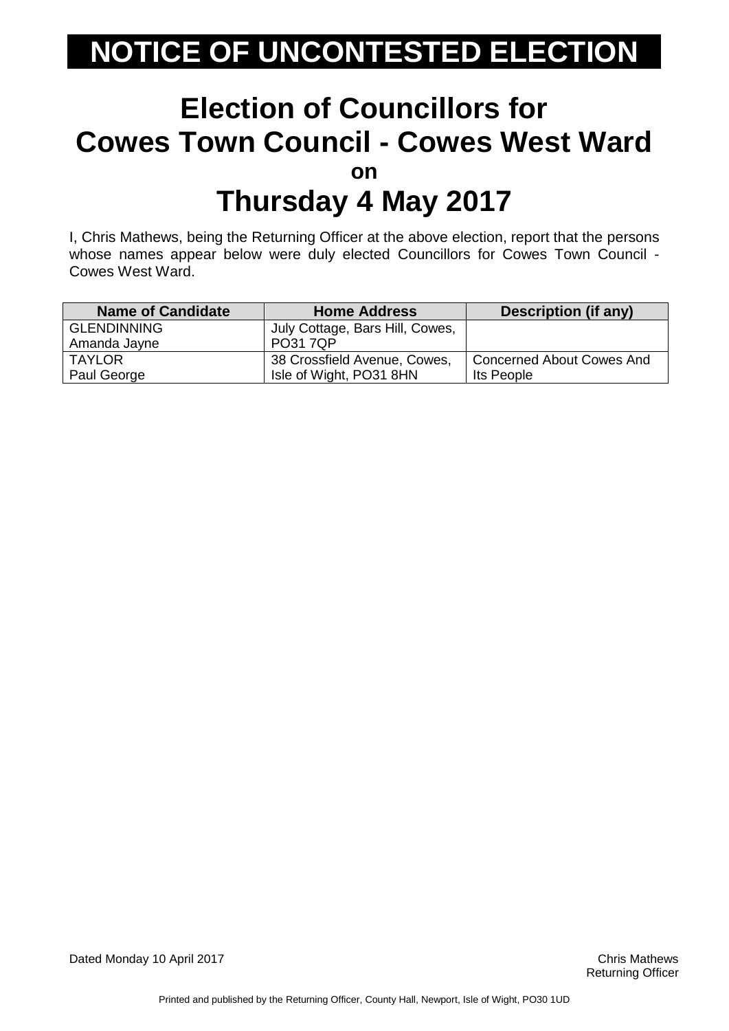#### **Election of Councillors for Cowes Town Council - Cowes West Ward on Thursday 4 May 2017**

I, Chris Mathews, being the Returning Officer at the above election, report that the persons whose names appear below were duly elected Councillors for Cowes Town Council - Cowes West Ward.

| <b>Name of Candidate</b> | <b>Home Address</b>             | <b>Description (if any)</b>      |
|--------------------------|---------------------------------|----------------------------------|
| <b>GLENDINNING</b>       | July Cottage, Bars Hill, Cowes, |                                  |
| Amanda Jayne             | <b>PO31 7QP</b>                 |                                  |
| TAYLOR                   | 38 Crossfield Avenue, Cowes,    | <b>Concerned About Cowes And</b> |
| Paul George              | Isle of Wight, PO31 8HN         | Its People                       |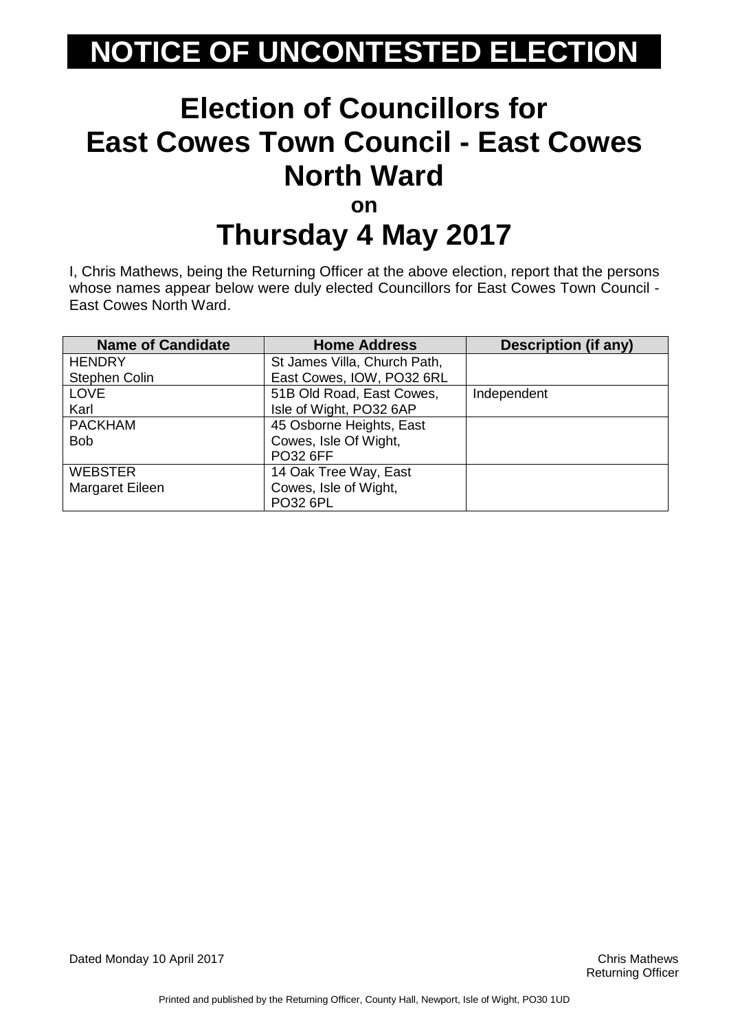#### **Election of Councillors for East Cowes Town Council - East Cowes North Ward on Thursday 4 May 2017**

I, Chris Mathews, being the Returning Officer at the above election, report that the persons whose names appear below were duly elected Councillors for East Cowes Town Council - East Cowes North Ward.

| <b>Name of Candidate</b> | <b>Home Address</b>          | <b>Description (if any)</b> |
|--------------------------|------------------------------|-----------------------------|
| <b>HENDRY</b>            | St James Villa, Church Path, |                             |
| Stephen Colin            | East Cowes, IOW, PO32 6RL    |                             |
| <b>LOVE</b>              | 51B Old Road, East Cowes,    | Independent                 |
| Karl                     | Isle of Wight, PO32 6AP      |                             |
| <b>PACKHAM</b>           | 45 Osborne Heights, East     |                             |
| <b>Bob</b>               | Cowes, Isle Of Wight,        |                             |
|                          | <b>PO32 6FF</b>              |                             |
| <b>WEBSTER</b>           | 14 Oak Tree Way, East        |                             |
| Margaret Eileen          | Cowes, Isle of Wight,        |                             |
|                          | <b>PO32 6PL</b>              |                             |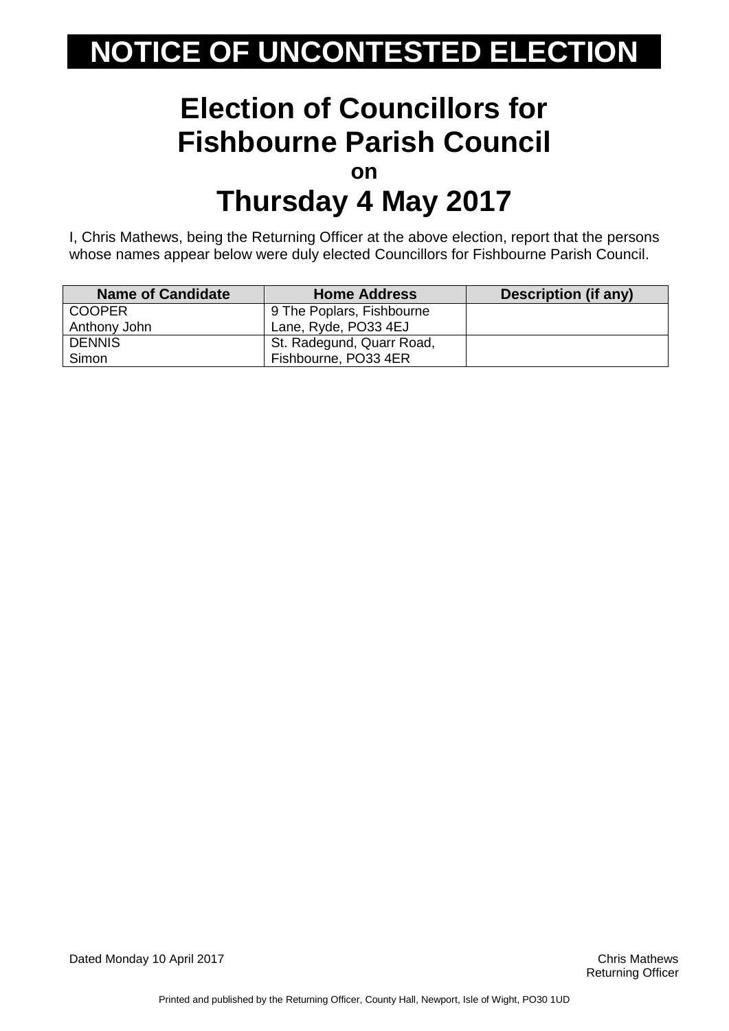#### **Election of Councillors for Fishbourne Parish Council on Thursday 4 May 2017**

I, Chris Mathews, being the Returning Officer at the above election, report that the persons whose names appear below were duly elected Councillors for Fishbourne Parish Council.

| <b>Name of Candidate</b> | <b>Home Address</b>       | Description (if any) |
|--------------------------|---------------------------|----------------------|
| <b>COOPER</b>            | 9 The Poplars, Fishbourne |                      |
| Anthony John             | Lane, Ryde, PO33 4EJ      |                      |
| <b>DENNIS</b>            | St. Radegund, Quarr Road, |                      |
| Simon                    | Fishbourne, PO33 4ER      |                      |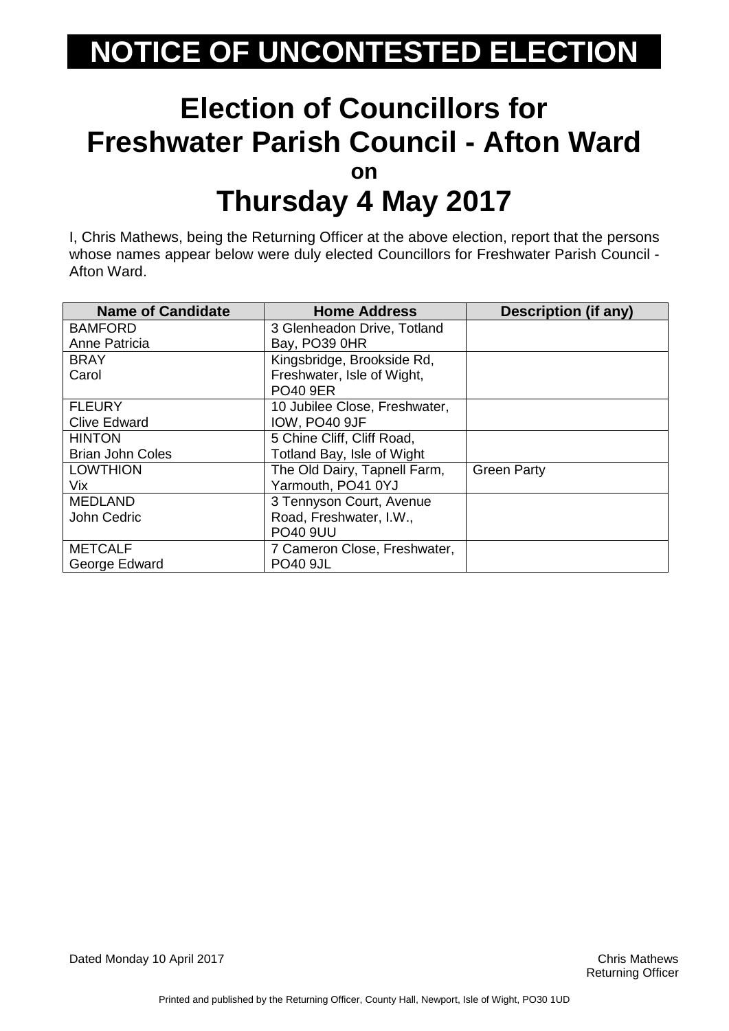#### **Election of Councillors for Freshwater Parish Council - Afton Ward on Thursday 4 May 2017**

I, Chris Mathews, being the Returning Officer at the above election, report that the persons whose names appear below were duly elected Councillors for Freshwater Parish Council - Afton Ward.

| <b>Name of Candidate</b> | <b>Home Address</b>           | <b>Description (if any)</b> |
|--------------------------|-------------------------------|-----------------------------|
| <b>BAMFORD</b>           | 3 Glenheadon Drive, Totland   |                             |
| Anne Patricia            | Bay, PO39 0HR                 |                             |
| <b>BRAY</b>              | Kingsbridge, Brookside Rd,    |                             |
| Carol                    | Freshwater, Isle of Wight,    |                             |
|                          | <b>PO40 9ER</b>               |                             |
| <b>FLEURY</b>            | 10 Jubilee Close, Freshwater, |                             |
| <b>Clive Edward</b>      | IOW, PO40 9JF                 |                             |
| <b>HINTON</b>            | 5 Chine Cliff, Cliff Road,    |                             |
| <b>Brian John Coles</b>  | Totland Bay, Isle of Wight    |                             |
| <b>LOWTHION</b>          | The Old Dairy, Tapnell Farm,  | <b>Green Party</b>          |
| Vix.                     | Yarmouth, PO41 0YJ            |                             |
| <b>MEDLAND</b>           | 3 Tennyson Court, Avenue      |                             |
| John Cedric              | Road, Freshwater, I.W.,       |                             |
|                          | <b>PO40 9UU</b>               |                             |
| <b>METCALF</b>           | 7 Cameron Close, Freshwater,  |                             |
| George Edward            | <b>PO40 9JL</b>               |                             |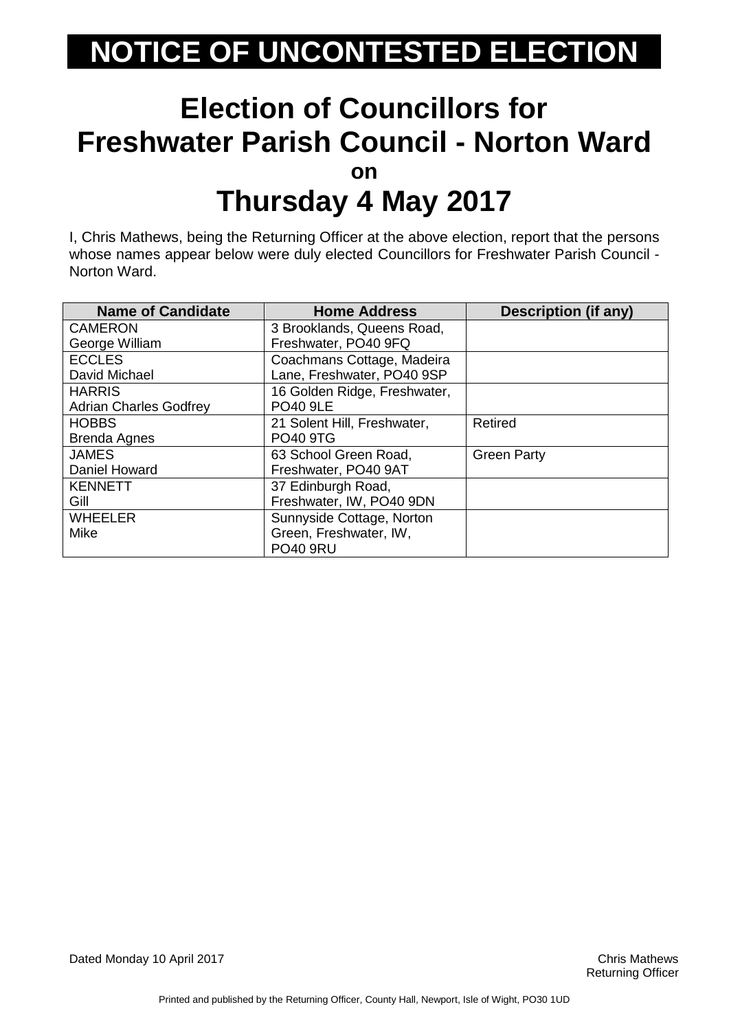#### **Election of Councillors for Freshwater Parish Council - Norton Ward on Thursday 4 May 2017**

I, Chris Mathews, being the Returning Officer at the above election, report that the persons whose names appear below were duly elected Councillors for Freshwater Parish Council - Norton Ward.

| <b>Name of Candidate</b>      | <b>Home Address</b>          | <b>Description (if any)</b> |
|-------------------------------|------------------------------|-----------------------------|
| <b>CAMERON</b>                | 3 Brooklands, Queens Road,   |                             |
| George William                | Freshwater, PO40 9FQ         |                             |
| <b>ECCLES</b>                 | Coachmans Cottage, Madeira   |                             |
| David Michael                 | Lane, Freshwater, PO40 9SP   |                             |
| <b>HARRIS</b>                 | 16 Golden Ridge, Freshwater, |                             |
| <b>Adrian Charles Godfrey</b> | <b>PO40 9LE</b>              |                             |
| <b>HOBBS</b>                  | 21 Solent Hill, Freshwater,  | Retired                     |
| <b>Brenda Agnes</b>           | <b>PO40 9TG</b>              |                             |
| <b>JAMES</b>                  | 63 School Green Road,        | <b>Green Party</b>          |
| Daniel Howard                 | Freshwater, PO40 9AT         |                             |
| <b>KENNETT</b>                | 37 Edinburgh Road,           |                             |
| Gill                          | Freshwater, IW, PO40 9DN     |                             |
| <b>WHEELER</b>                | Sunnyside Cottage, Norton    |                             |
| Mike                          | Green, Freshwater, IW,       |                             |
|                               | <b>PO40 9RU</b>              |                             |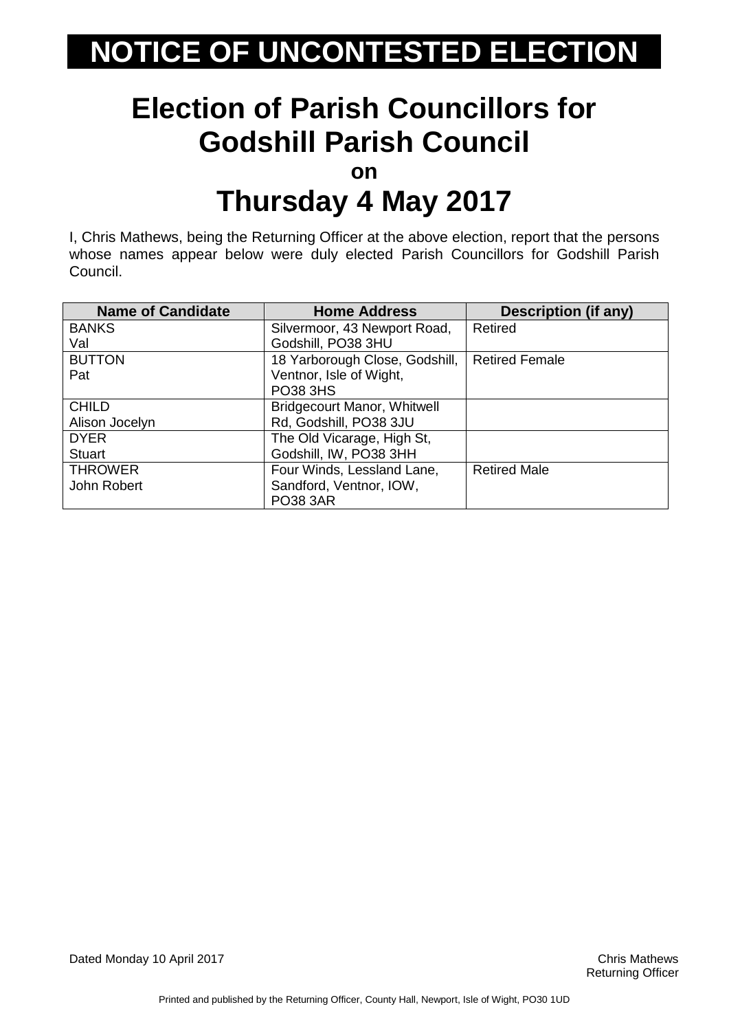### **Election of Parish Councillors for Godshill Parish Council**

**on**

### **Thursday 4 May 2017**

I, Chris Mathews, being the Returning Officer at the above election, report that the persons whose names appear below were duly elected Parish Councillors for Godshill Parish Council.

| <b>Name of Candidate</b> | <b>Home Address</b>            | <b>Description (if any)</b> |
|--------------------------|--------------------------------|-----------------------------|
| <b>BANKS</b>             | Silvermoor, 43 Newport Road,   | Retired                     |
| Val                      | Godshill, PO38 3HU             |                             |
| <b>BUTTON</b>            | 18 Yarborough Close, Godshill, | <b>Retired Female</b>       |
| Pat                      | Ventnor, Isle of Wight,        |                             |
|                          | <b>PO38 3HS</b>                |                             |
| <b>CHILD</b>             | Bridgecourt Manor, Whitwell    |                             |
| Alison Jocelyn           | Rd, Godshill, PO38 3JU         |                             |
| <b>DYER</b>              | The Old Vicarage, High St,     |                             |
| <b>Stuart</b>            | Godshill, IW, PO38 3HH         |                             |
| <b>THROWER</b>           | Four Winds, Lessland Lane,     | <b>Retired Male</b>         |
| John Robert              | Sandford, Ventnor, IOW,        |                             |
|                          | <b>PO38 3AR</b>                |                             |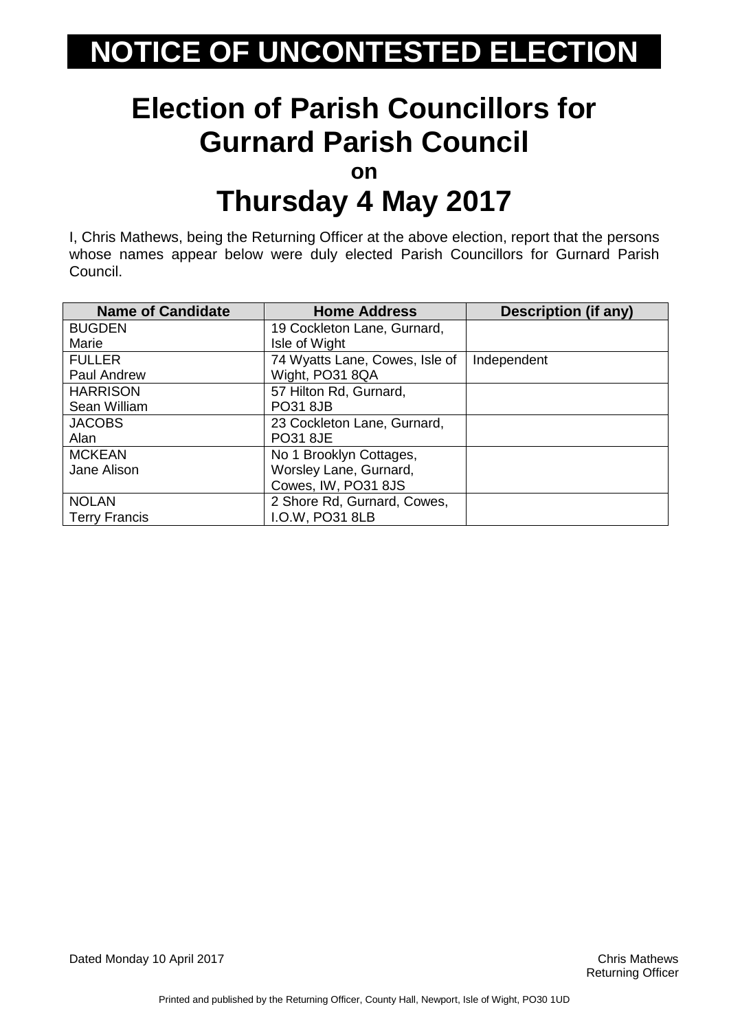# **Election of Parish Councillors for Gurnard Parish Council**

**on**

### **Thursday 4 May 2017**

I, Chris Mathews, being the Returning Officer at the above election, report that the persons whose names appear below were duly elected Parish Councillors for Gurnard Parish Council.

| <b>Name of Candidate</b> | <b>Home Address</b>            | <b>Description (if any)</b> |
|--------------------------|--------------------------------|-----------------------------|
| <b>BUGDEN</b>            | 19 Cockleton Lane, Gurnard,    |                             |
| Marie                    | Isle of Wight                  |                             |
| <b>FULLER</b>            | 74 Wyatts Lane, Cowes, Isle of | Independent                 |
| <b>Paul Andrew</b>       | Wight, PO31 8QA                |                             |
| <b>HARRISON</b>          | 57 Hilton Rd, Gurnard,         |                             |
| Sean William             | <b>PO31 8JB</b>                |                             |
| <b>JACOBS</b>            | 23 Cockleton Lane, Gurnard,    |                             |
| Alan                     | <b>PO31 8JE</b>                |                             |
| <b>MCKEAN</b>            | No 1 Brooklyn Cottages,        |                             |
| Jane Alison              | Worsley Lane, Gurnard,         |                             |
|                          | Cowes, IW, PO31 8JS            |                             |
| <b>NOLAN</b>             | 2 Shore Rd, Gurnard, Cowes,    |                             |
| <b>Terry Francis</b>     | I.O.W, PO31 8LB                |                             |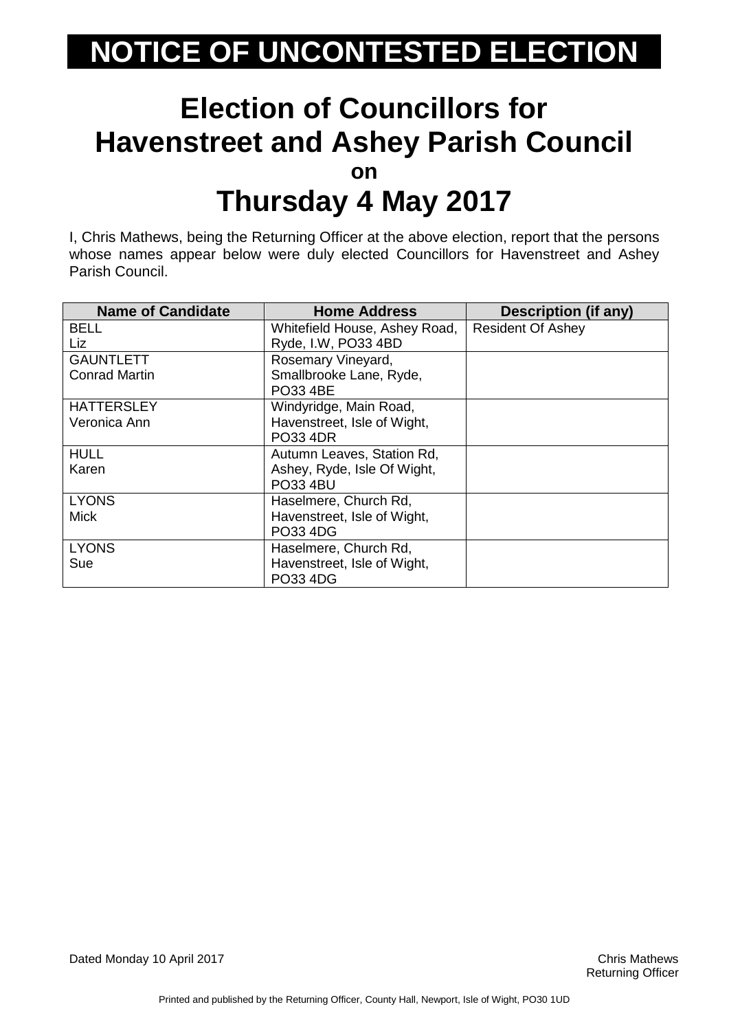#### **Election of Councillors for Havenstreet and Ashey Parish Council on Thursday 4 May 2017**

I, Chris Mathews, being the Returning Officer at the above election, report that the persons whose names appear below were duly elected Councillors for Havenstreet and Ashey Parish Council.

| <b>Name of Candidate</b> | <b>Home Address</b>           | <b>Description (if any)</b> |
|--------------------------|-------------------------------|-----------------------------|
| <b>BELL</b>              | Whitefield House, Ashey Road, | <b>Resident Of Ashey</b>    |
| Liz                      | Ryde, I.W, PO33 4BD           |                             |
| <b>GAUNTLETT</b>         | Rosemary Vineyard,            |                             |
| <b>Conrad Martin</b>     | Smallbrooke Lane, Ryde,       |                             |
|                          | PO33 4BE                      |                             |
| <b>HATTERSLEY</b>        | Windyridge, Main Road,        |                             |
| Veronica Ann             | Havenstreet, Isle of Wight,   |                             |
|                          | <b>PO33 4DR</b>               |                             |
| <b>HULL</b>              | Autumn Leaves, Station Rd,    |                             |
| Karen                    | Ashey, Ryde, Isle Of Wight,   |                             |
|                          | <b>PO33 4BU</b>               |                             |
| <b>LYONS</b>             | Haselmere, Church Rd,         |                             |
| <b>Mick</b>              | Havenstreet, Isle of Wight,   |                             |
|                          | PO33 4DG                      |                             |
| <b>LYONS</b>             | Haselmere, Church Rd,         |                             |
| Sue                      | Havenstreet, Isle of Wight,   |                             |
|                          | <b>PO33 4DG</b>               |                             |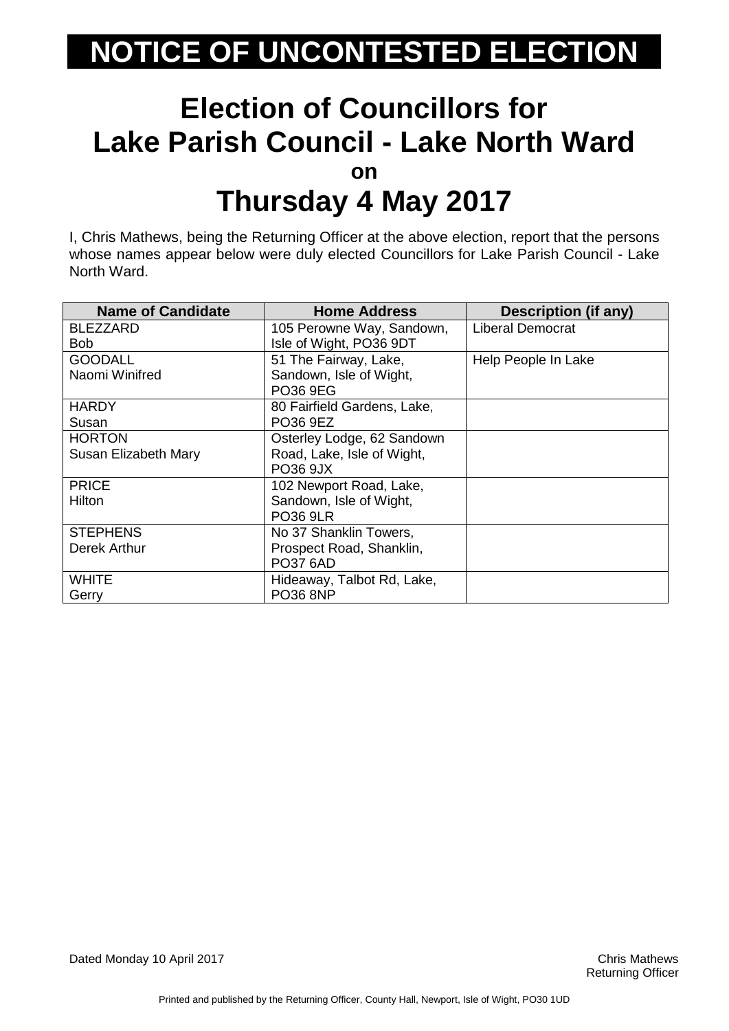#### **Election of Councillors for Lake Parish Council - Lake North Ward on Thursday 4 May 2017**

I, Chris Mathews, being the Returning Officer at the above election, report that the persons whose names appear below were duly elected Councillors for Lake Parish Council - Lake North Ward.

| <b>Name of Candidate</b> | <b>Home Address</b>         | <b>Description (if any)</b> |
|--------------------------|-----------------------------|-----------------------------|
| <b>BLEZZARD</b>          | 105 Perowne Way, Sandown,   | Liberal Democrat            |
| Bob.                     | Isle of Wight, PO36 9DT     |                             |
| <b>GOODALL</b>           | 51 The Fairway, Lake,       | Help People In Lake         |
| Naomi Winifred           | Sandown, Isle of Wight,     |                             |
|                          | PO36 9EG                    |                             |
| <b>HARDY</b>             | 80 Fairfield Gardens, Lake, |                             |
| Susan                    | PO36 9EZ                    |                             |
| <b>HORTON</b>            | Osterley Lodge, 62 Sandown  |                             |
| Susan Elizabeth Mary     | Road, Lake, Isle of Wight,  |                             |
|                          | PO36 9JX                    |                             |
| <b>PRICE</b>             | 102 Newport Road, Lake,     |                             |
| Hilton                   | Sandown, Isle of Wight,     |                             |
|                          | <b>PO36 9LR</b>             |                             |
| <b>STEPHENS</b>          | No 37 Shanklin Towers,      |                             |
| Derek Arthur             | Prospect Road, Shanklin,    |                             |
|                          | <b>PO37 6AD</b>             |                             |
| WHITE                    | Hideaway, Talbot Rd, Lake,  |                             |
| Gerry                    | <b>PO36 8NP</b>             |                             |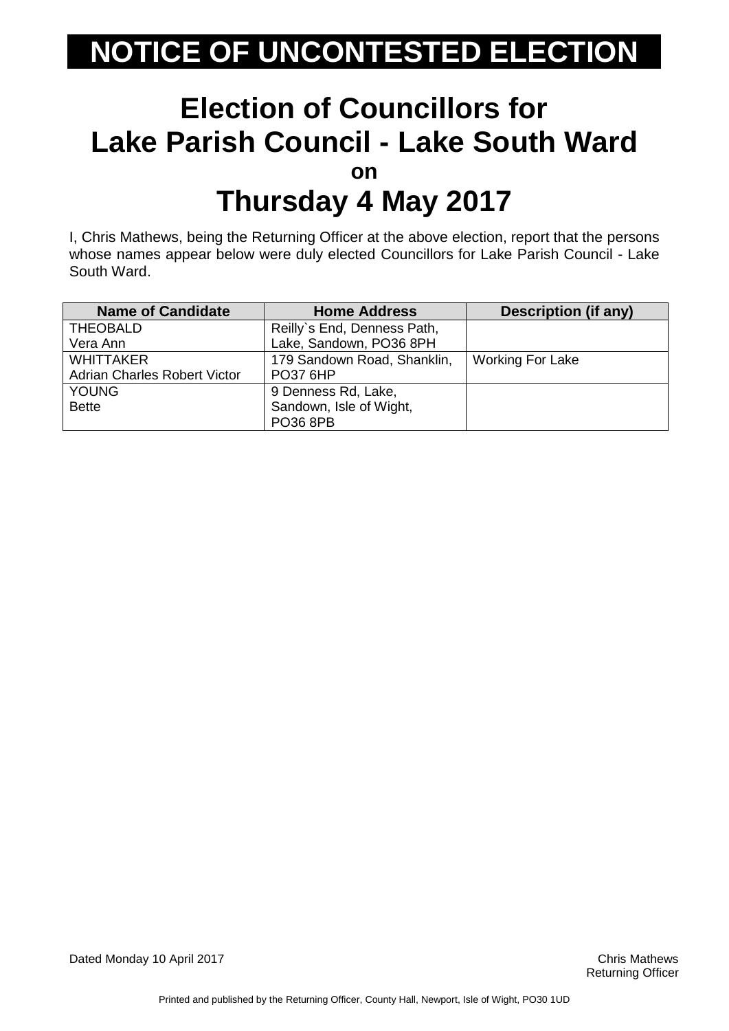#### **Election of Councillors for Lake Parish Council - Lake South Ward on Thursday 4 May 2017**

I, Chris Mathews, being the Returning Officer at the above election, report that the persons whose names appear below were duly elected Councillors for Lake Parish Council - Lake South Ward.

| <b>Name of Candidate</b>            | <b>Home Address</b>         | <b>Description (if any)</b> |
|-------------------------------------|-----------------------------|-----------------------------|
| <b>THEOBALD</b>                     | Reilly's End, Denness Path, |                             |
| Vera Ann                            | Lake, Sandown, PO36 8PH     |                             |
| <b>WHITTAKER</b>                    | 179 Sandown Road, Shanklin, | <b>Working For Lake</b>     |
| <b>Adrian Charles Robert Victor</b> | <b>PO37 6HP</b>             |                             |
| <b>YOUNG</b>                        | 9 Denness Rd, Lake,         |                             |
| <b>Bette</b>                        | Sandown, Isle of Wight,     |                             |
|                                     | <b>PO36 8PB</b>             |                             |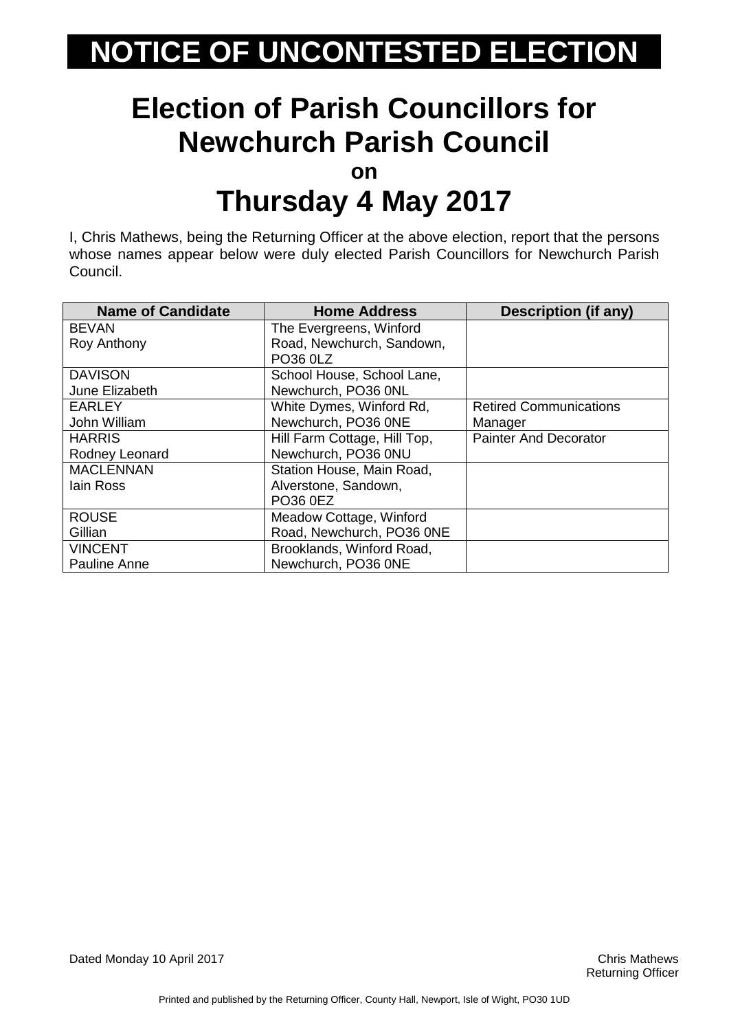# **Election of Parish Councillors for Newchurch Parish Council**

**on**

### **Thursday 4 May 2017**

I, Chris Mathews, being the Returning Officer at the above election, report that the persons whose names appear below were duly elected Parish Councillors for Newchurch Parish Council.

| <b>Name of Candidate</b> | <b>Home Address</b>          | <b>Description (if any)</b>   |
|--------------------------|------------------------------|-------------------------------|
| <b>BEVAN</b>             | The Evergreens, Winford      |                               |
| Roy Anthony              | Road, Newchurch, Sandown,    |                               |
|                          | PO36 0LZ                     |                               |
| <b>DAVISON</b>           | School House, School Lane,   |                               |
| June Elizabeth           | Newchurch, PO36 0NL          |                               |
| <b>EARLEY</b>            | White Dymes, Winford Rd,     | <b>Retired Communications</b> |
| John William             | Newchurch, PO36 0NE          | Manager                       |
| <b>HARRIS</b>            | Hill Farm Cottage, Hill Top, | <b>Painter And Decorator</b>  |
| Rodney Leonard           | Newchurch, PO36 0NU          |                               |
| <b>MACLENNAN</b>         | Station House, Main Road,    |                               |
| lain Ross                | Alverstone, Sandown,         |                               |
|                          | PO36 0EZ                     |                               |
| <b>ROUSE</b>             | Meadow Cottage, Winford      |                               |
| Gillian                  | Road, Newchurch, PO36 0NE    |                               |
| <b>VINCENT</b>           | Brooklands, Winford Road,    |                               |
| Pauline Anne             | Newchurch, PO36 0NE          |                               |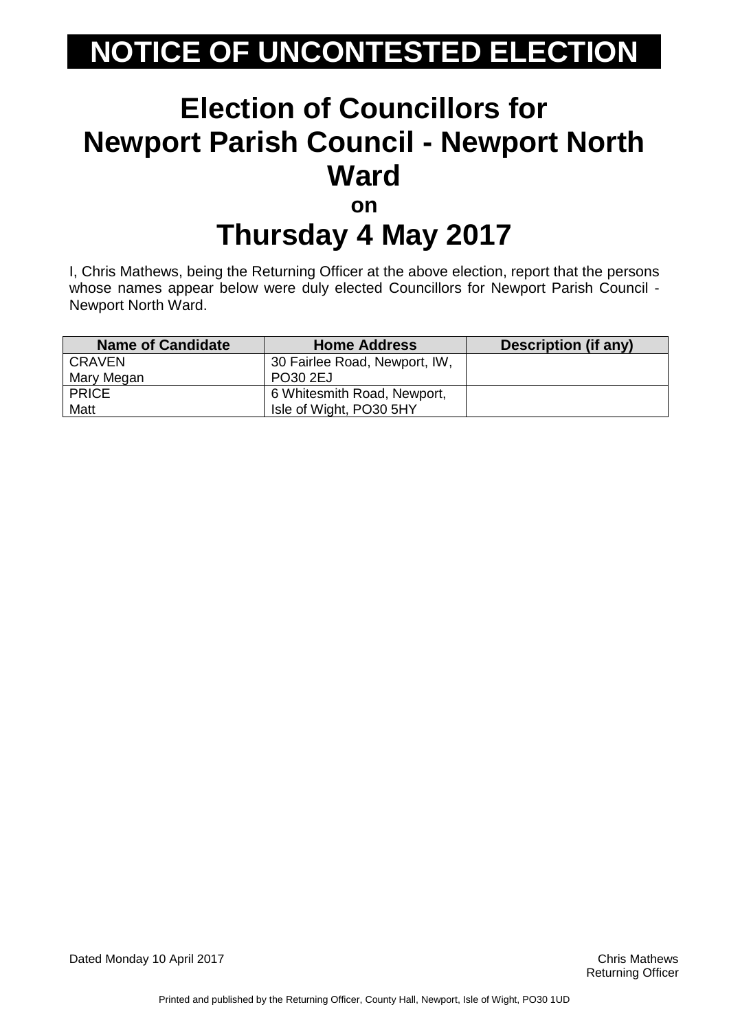#### **Election of Councillors for Newport Parish Council - Newport North Ward on**

# **Thursday 4 May 2017**

I, Chris Mathews, being the Returning Officer at the above election, report that the persons whose names appear below were duly elected Councillors for Newport Parish Council - Newport North Ward.

| <b>Name of Candidate</b> | <b>Home Address</b>           | Description (if any) |
|--------------------------|-------------------------------|----------------------|
| <b>CRAVEN</b>            | 30 Fairlee Road, Newport, IW, |                      |
| Mary Megan               | PO30 2EJ                      |                      |
| <b>PRICE</b>             | 6 Whitesmith Road, Newport,   |                      |
| Matt                     | Isle of Wight, PO30 5HY       |                      |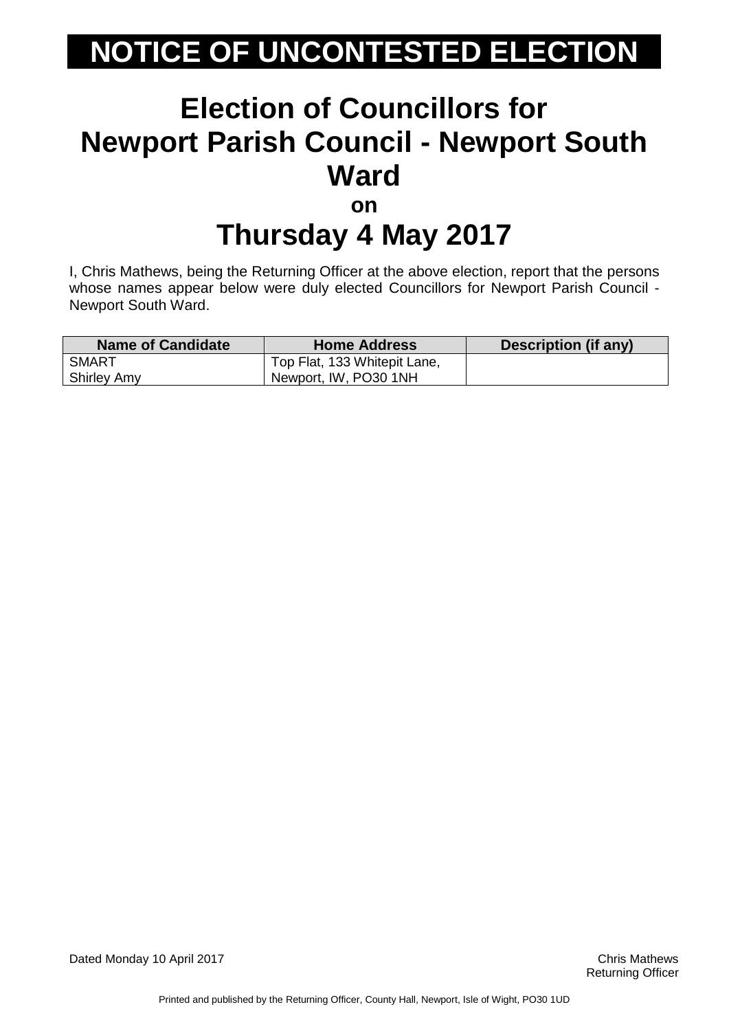#### **Election of Councillors for Newport Parish Council - Newport South Ward on**

# **Thursday 4 May 2017**

I, Chris Mathews, being the Returning Officer at the above election, report that the persons whose names appear below were duly elected Councillors for Newport Parish Council - Newport South Ward.

| Name of Candidate  | <b>Home Address</b>          | Description (if any) |
|--------------------|------------------------------|----------------------|
| SMART              | Top Flat, 133 Whitepit Lane, |                      |
| <b>Shirley Amy</b> | Newport, IW, PO30 1NH        |                      |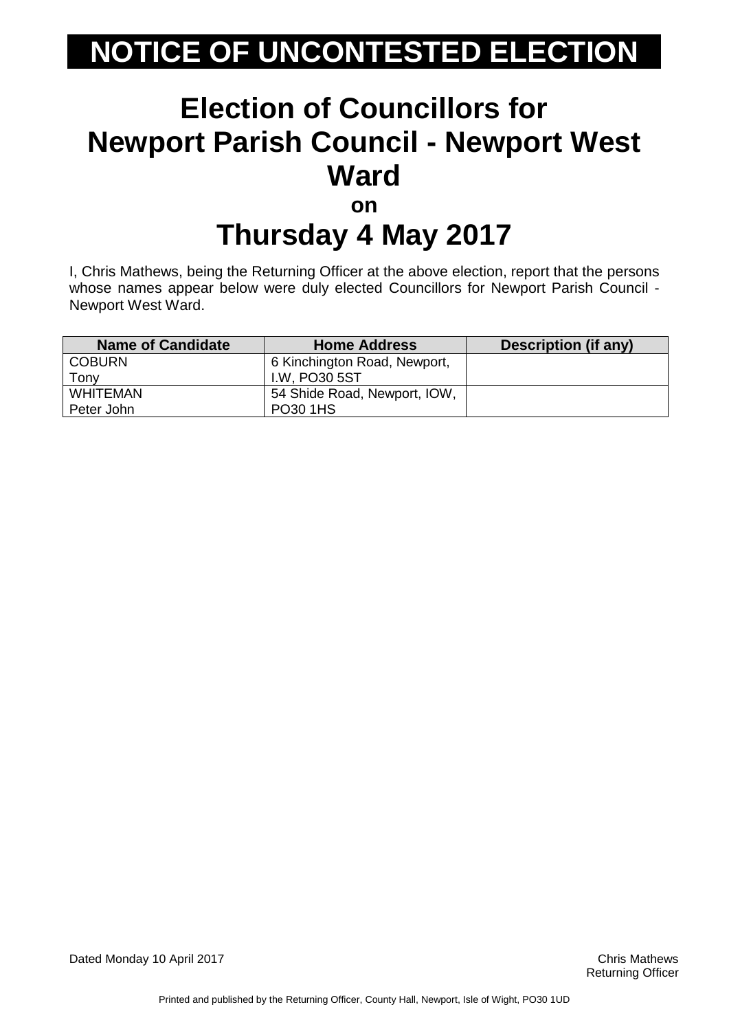#### **Election of Councillors for Newport Parish Council - Newport West Ward on**

# **Thursday 4 May 2017**

I, Chris Mathews, being the Returning Officer at the above election, report that the persons whose names appear below were duly elected Councillors for Newport Parish Council - Newport West Ward.

| <b>Name of Candidate</b> | <b>Home Address</b>          | Description (if any) |
|--------------------------|------------------------------|----------------------|
| <b>COBURN</b>            | 6 Kinchington Road, Newport, |                      |
| Fonv                     | I.W. PO30 5ST                |                      |
| <b>WHITEMAN</b>          | 54 Shide Road, Newport, IOW, |                      |
| Peter John               | PO30 1HS                     |                      |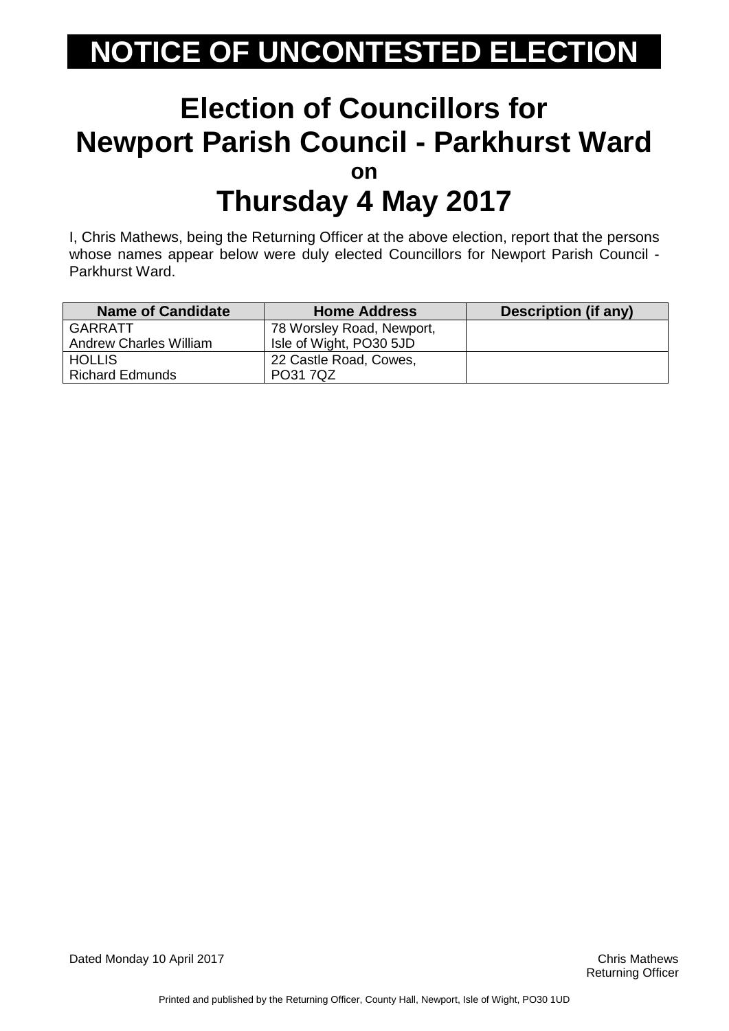#### **Election of Councillors for Newport Parish Council - Parkhurst Ward on Thursday 4 May 2017**

I, Chris Mathews, being the Returning Officer at the above election, report that the persons whose names appear below were duly elected Councillors for Newport Parish Council - Parkhurst Ward.

| <b>Name of Candidate</b>      | <b>Home Address</b>       | <b>Description (if any)</b> |
|-------------------------------|---------------------------|-----------------------------|
| GARRATT                       | 78 Worsley Road, Newport, |                             |
| <b>Andrew Charles William</b> | Isle of Wight, PO30 5JD   |                             |
| <b>HOLLIS</b>                 | 22 Castle Road, Cowes,    |                             |
| <b>Richard Edmunds</b>        | PO31 7QZ                  |                             |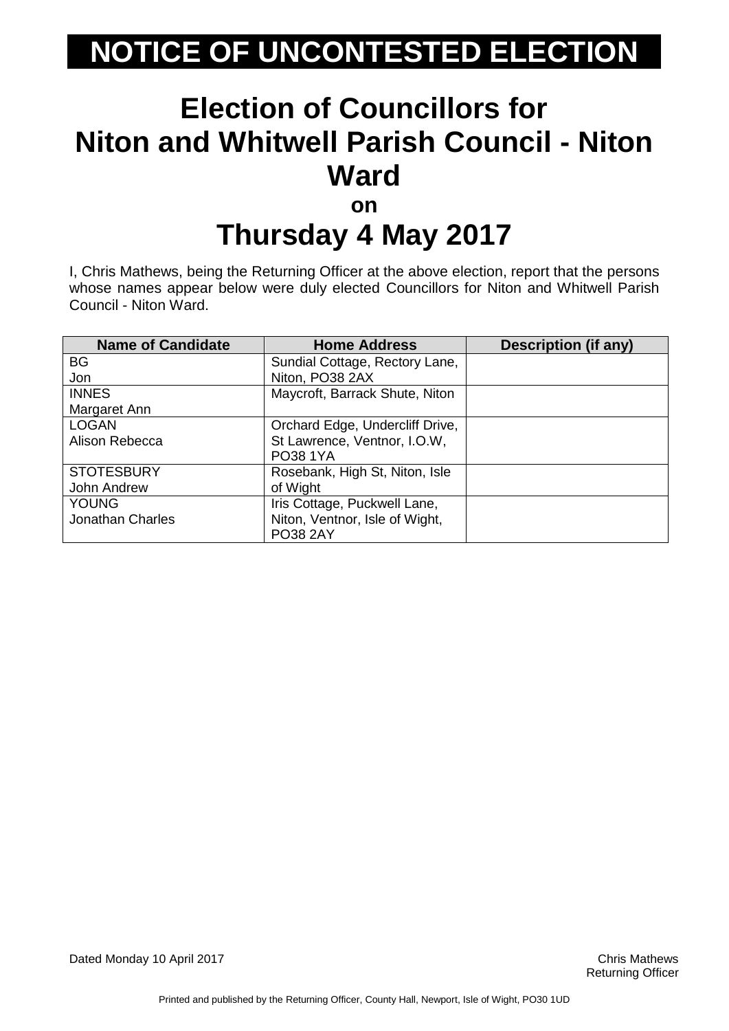# **Election of Councillors for Niton and Whitwell Parish Council - Niton Ward**

**on**

### **Thursday 4 May 2017**

I, Chris Mathews, being the Returning Officer at the above election, report that the persons whose names appear below were duly elected Councillors for Niton and Whitwell Parish Council - Niton Ward.

| <b>Name of Candidate</b> | <b>Home Address</b>             | <b>Description (if any)</b> |
|--------------------------|---------------------------------|-----------------------------|
| <b>BG</b>                | Sundial Cottage, Rectory Lane,  |                             |
| Jon                      | Niton, PO38 2AX                 |                             |
| <b>INNES</b>             | Maycroft, Barrack Shute, Niton  |                             |
| Margaret Ann             |                                 |                             |
| <b>LOGAN</b>             | Orchard Edge, Undercliff Drive, |                             |
| Alison Rebecca           | St Lawrence, Ventnor, I.O.W,    |                             |
|                          | <b>PO38 1YA</b>                 |                             |
| <b>STOTESBURY</b>        | Rosebank, High St, Niton, Isle  |                             |
| John Andrew              | of Wight                        |                             |
| <b>YOUNG</b>             | Iris Cottage, Puckwell Lane,    |                             |
| <b>Jonathan Charles</b>  | Niton, Ventnor, Isle of Wight,  |                             |
|                          | <b>PO38 2AY</b>                 |                             |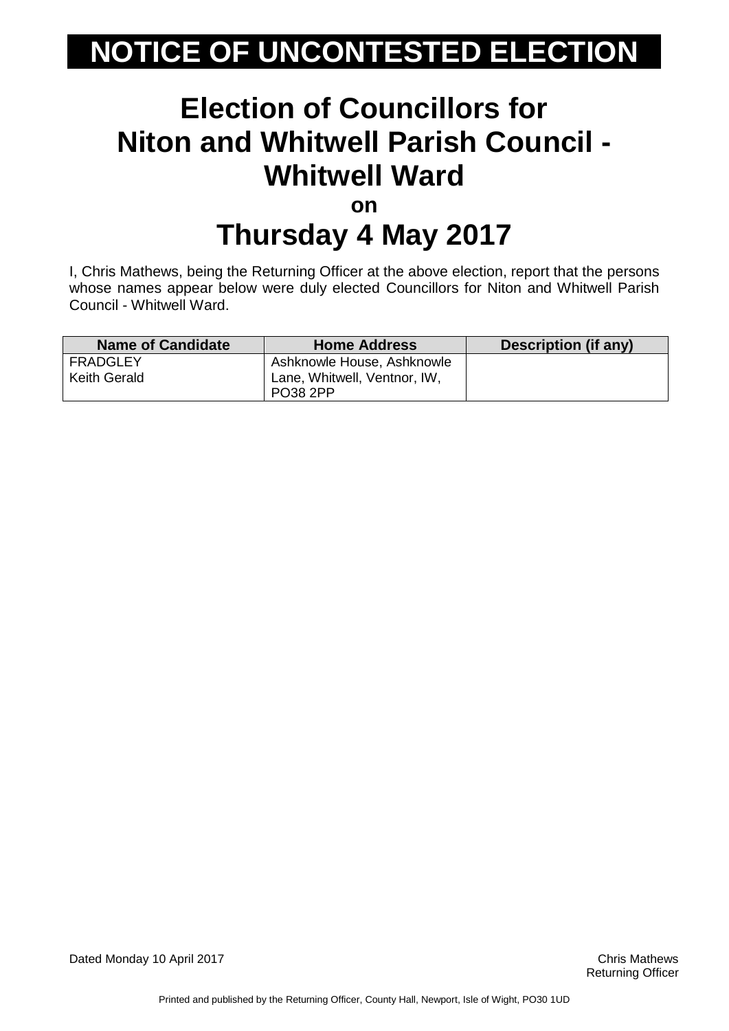#### **Election of Councillors for Niton and Whitwell Parish Council - Whitwell Ward on Thursday 4 May 2017**

I, Chris Mathews, being the Returning Officer at the above election, report that the persons whose names appear below were duly elected Councillors for Niton and Whitwell Parish Council - Whitwell Ward.

| Name of Candidate               | <b>Home Address</b>                                        | Description (if any) |
|---------------------------------|------------------------------------------------------------|----------------------|
| FRADGLEY<br><b>Keith Gerald</b> | Ashknowle House, Ashknowle<br>Lane, Whitwell, Ventnor, IW, |                      |
|                                 | <b>PO38 2PP</b>                                            |                      |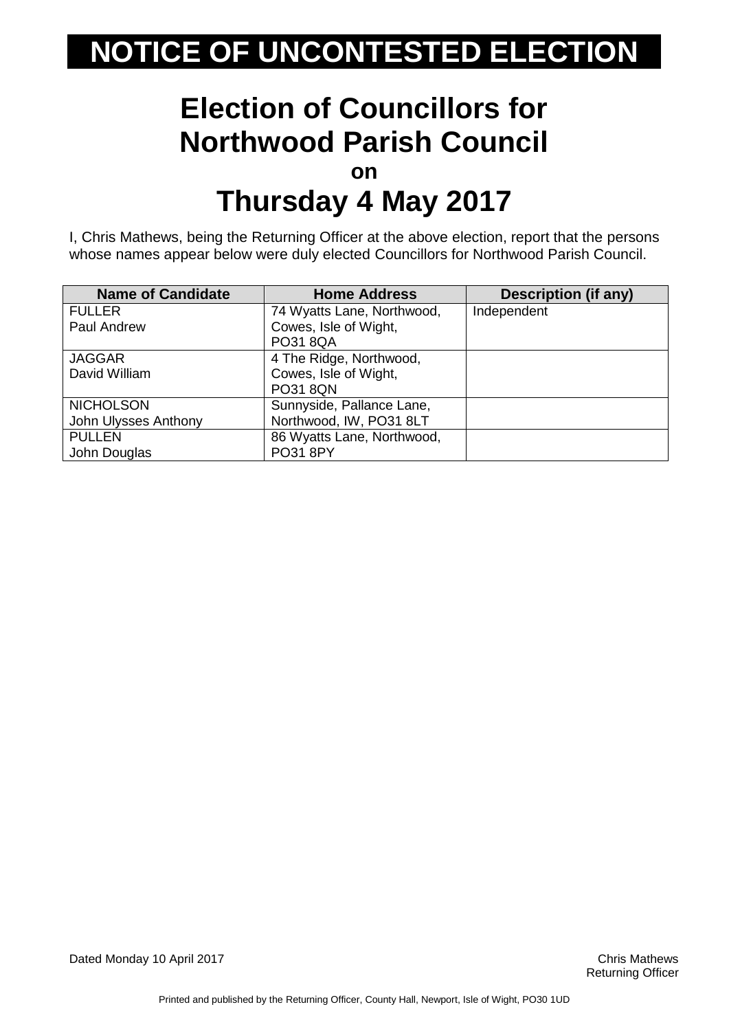#### **Election of Councillors for Northwood Parish Council on Thursday 4 May 2017**

I, Chris Mathews, being the Returning Officer at the above election, report that the persons whose names appear below were duly elected Councillors for Northwood Parish Council.

| <b>Name of Candidate</b> | <b>Home Address</b>        | <b>Description (if any)</b> |
|--------------------------|----------------------------|-----------------------------|
| <b>FULLER</b>            | 74 Wyatts Lane, Northwood, | Independent                 |
| Paul Andrew              | Cowes, Isle of Wight,      |                             |
|                          | <b>PO31 8QA</b>            |                             |
| <b>JAGGAR</b>            | 4 The Ridge, Northwood,    |                             |
| David William            | Cowes, Isle of Wight,      |                             |
|                          | <b>PO31 8QN</b>            |                             |
| <b>NICHOLSON</b>         | Sunnyside, Pallance Lane,  |                             |
| John Ulysses Anthony     | Northwood, IW, PO31 8LT    |                             |
| <b>PULLEN</b>            | 86 Wyatts Lane, Northwood, |                             |
| John Douglas             | <b>PO31 8PY</b>            |                             |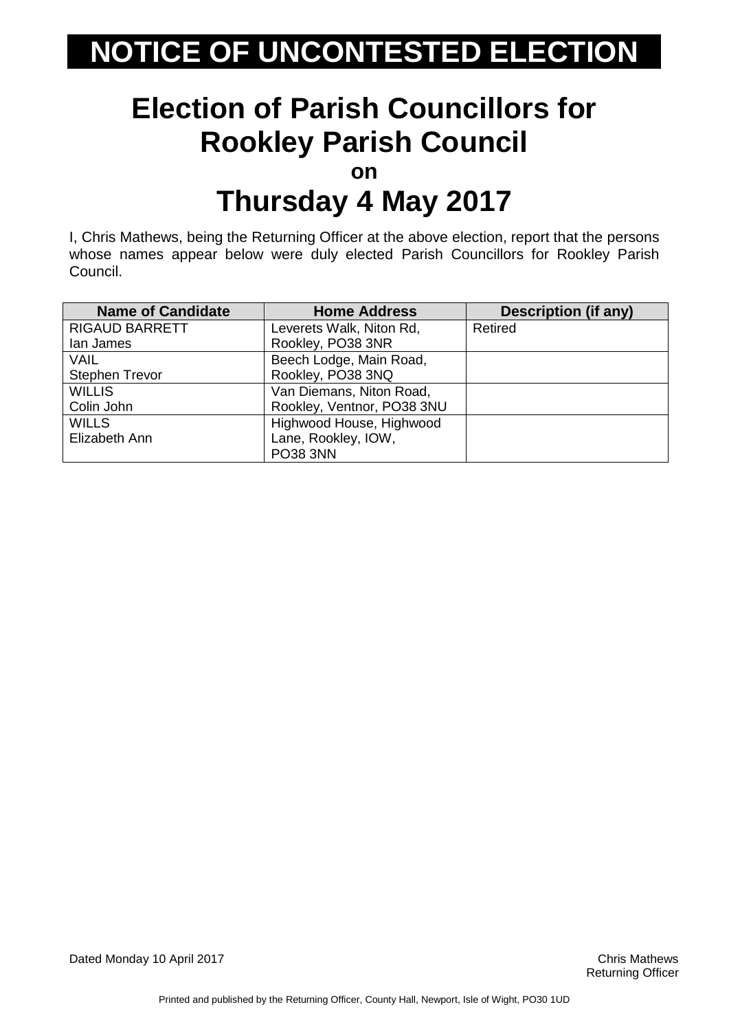# **Election of Parish Councillors for Rookley Parish Council**

**on**

### **Thursday 4 May 2017**

I, Chris Mathews, being the Returning Officer at the above election, report that the persons whose names appear below were duly elected Parish Councillors for Rookley Parish Council.

| <b>Name of Candidate</b> | <b>Home Address</b>        | <b>Description (if any)</b> |
|--------------------------|----------------------------|-----------------------------|
| <b>RIGAUD BARRETT</b>    | Leverets Walk, Niton Rd,   | Retired                     |
| lan James                | Rookley, PO38 3NR          |                             |
| VAIL                     | Beech Lodge, Main Road,    |                             |
| <b>Stephen Trevor</b>    | Rookley, PO38 3NQ          |                             |
| <b>WILLIS</b>            | Van Diemans, Niton Road,   |                             |
| Colin John               | Rookley, Ventnor, PO38 3NU |                             |
| <b>WILLS</b>             | Highwood House, Highwood   |                             |
| Elizabeth Ann            | Lane, Rookley, IOW,        |                             |
|                          | <b>PO38 3NN</b>            |                             |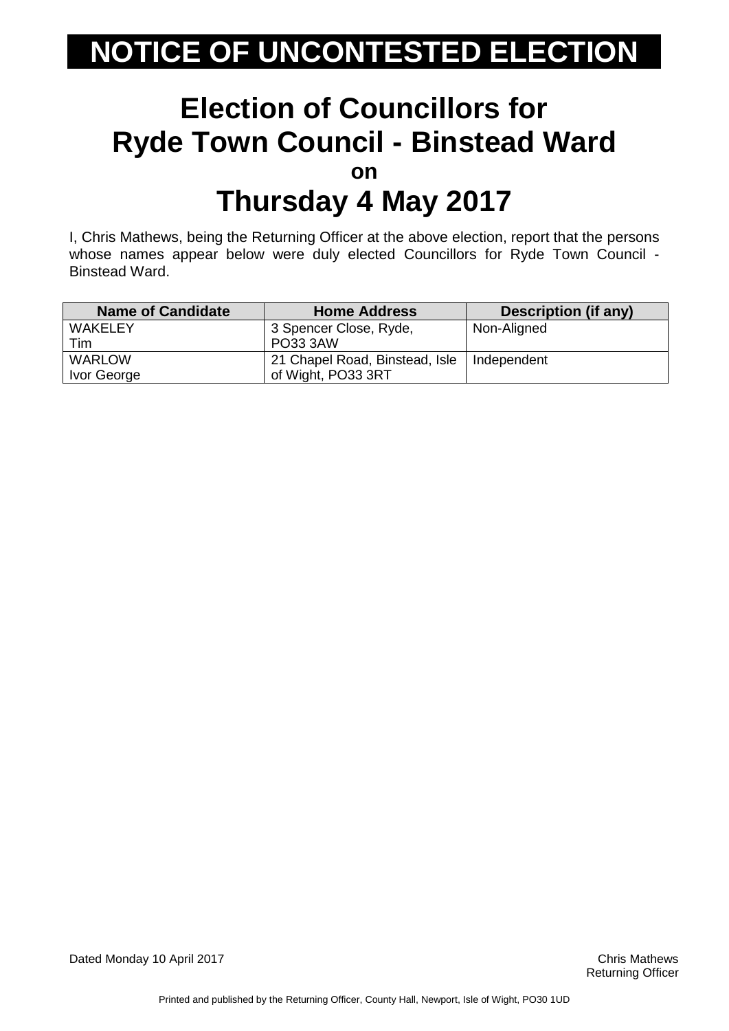#### **Election of Councillors for Ryde Town Council - Binstead Ward on Thursday 4 May 2017**

I, Chris Mathews, being the Returning Officer at the above election, report that the persons whose names appear below were duly elected Councillors for Ryde Town Council - Binstead Ward.

| <b>Name of Candidate</b> | <b>Home Address</b>            | Description (if any) |
|--------------------------|--------------------------------|----------------------|
| <b>WAKELEY</b>           | 3 Spencer Close, Ryde,         | Non-Aligned          |
| Tim                      | <b>PO33 3AW</b>                |                      |
| <b>WARLOW</b>            | 21 Chapel Road, Binstead, Isle | Independent          |
| Ivor George              | of Wight, PO33 3RT             |                      |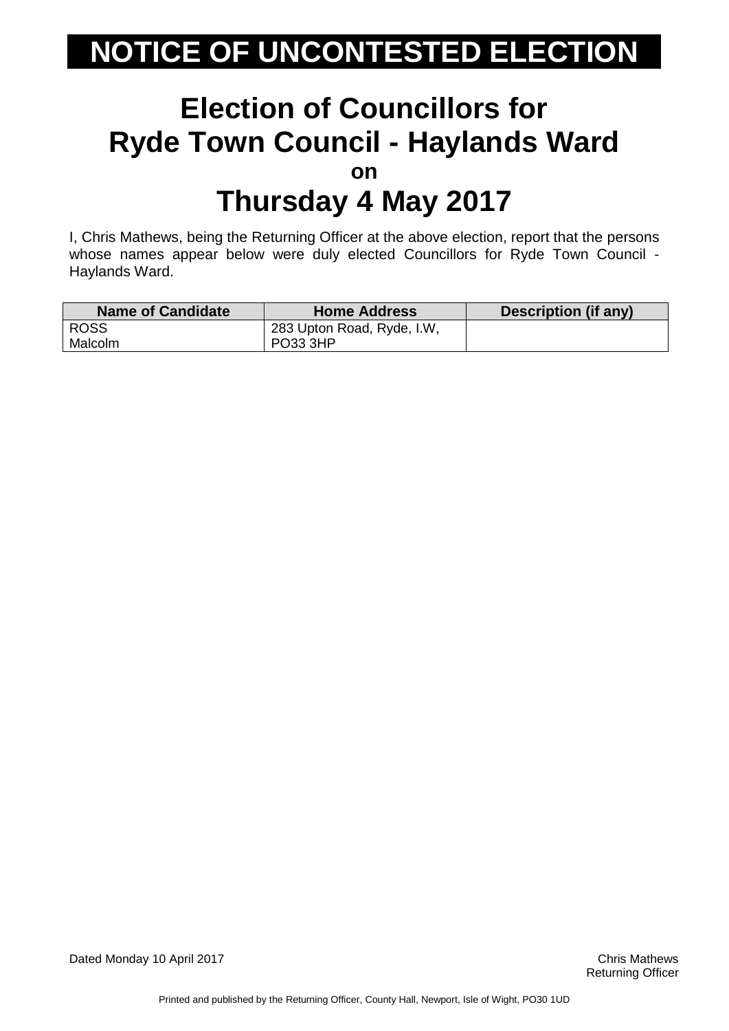#### **Election of Councillors for Ryde Town Council - Haylands Ward on Thursday 4 May 2017**

I, Chris Mathews, being the Returning Officer at the above election, report that the persons whose names appear below were duly elected Councillors for Ryde Town Council - Haylands Ward.

| <b>Name of Candidate</b> | <b>Home Address</b>        | Description (if any) |
|--------------------------|----------------------------|----------------------|
| <b>ROSS</b>              | 283 Upton Road, Ryde, I.W. |                      |
| Malcolm                  | PO33 3HP                   |                      |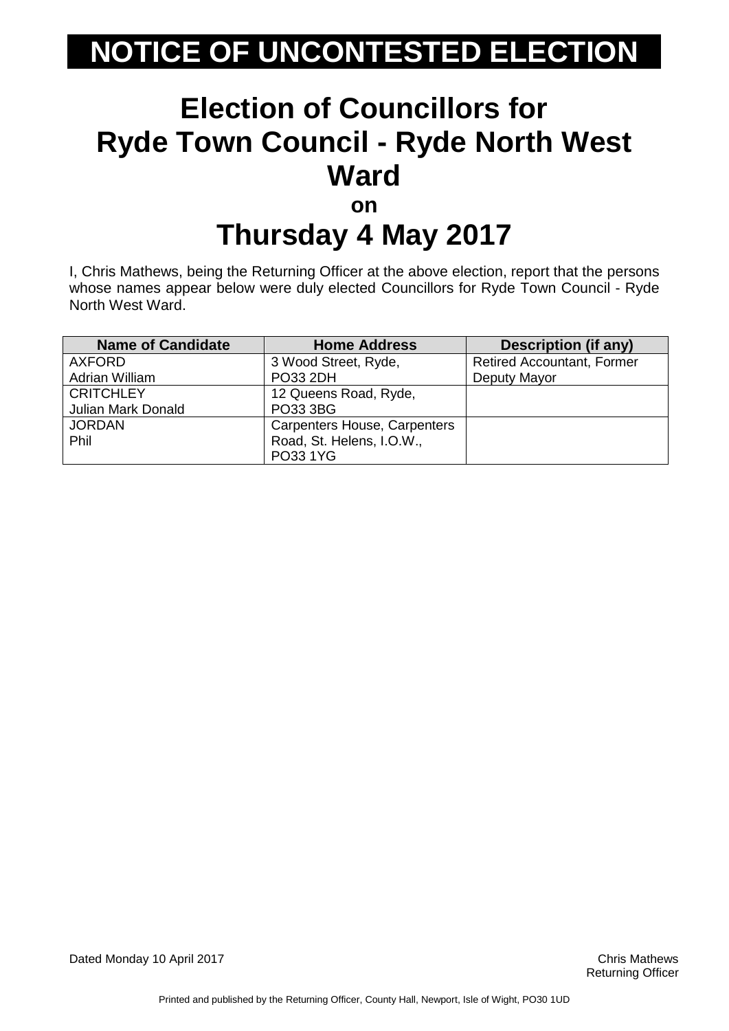### **Election of Councillors for Ryde Town Council - Ryde North West Ward on**

# **Thursday 4 May 2017**

I, Chris Mathews, being the Returning Officer at the above election, report that the persons whose names appear below were duly elected Councillors for Ryde Town Council - Ryde North West Ward.

| <b>Name of Candidate</b>  | <b>Home Address</b>                 | <b>Description (if any)</b>       |
|---------------------------|-------------------------------------|-----------------------------------|
| <b>AXFORD</b>             | 3 Wood Street, Ryde,                | <b>Retired Accountant, Former</b> |
| Adrian William            | <b>PO33 2DH</b>                     | Deputy Mayor                      |
| <b>CRITCHLEY</b>          | 12 Queens Road, Ryde,               |                                   |
| <b>Julian Mark Donald</b> | PO33 3BG                            |                                   |
| <b>JORDAN</b>             | <b>Carpenters House, Carpenters</b> |                                   |
| Phil                      | Road, St. Helens, I.O.W.,           |                                   |
|                           | PO33 1YG                            |                                   |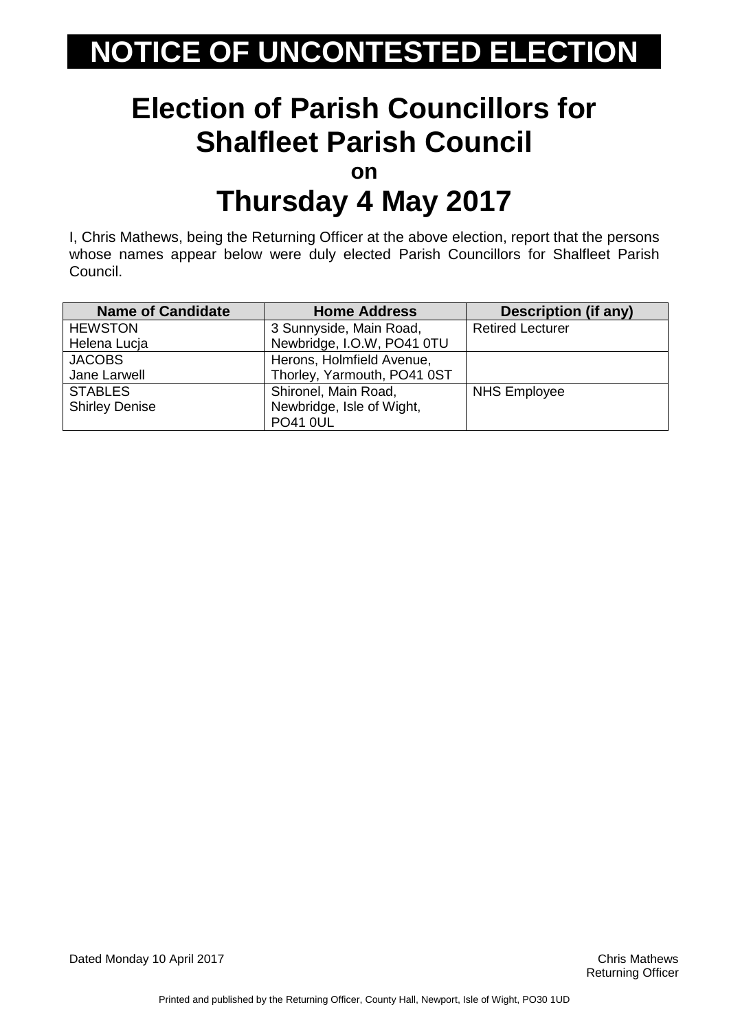# **Election of Parish Councillors for Shalfleet Parish Council**

**on**

### **Thursday 4 May 2017**

I, Chris Mathews, being the Returning Officer at the above election, report that the persons whose names appear below were duly elected Parish Councillors for Shalfleet Parish Council.

| <b>Name of Candidate</b> | <b>Home Address</b>         | <b>Description (if any)</b> |
|--------------------------|-----------------------------|-----------------------------|
| <b>HEWSTON</b>           | 3 Sunnyside, Main Road,     | <b>Retired Lecturer</b>     |
| Helena Lucja             | Newbridge, I.O.W, PO41 0TU  |                             |
| <b>JACOBS</b>            | Herons, Holmfield Avenue,   |                             |
| Jane Larwell             | Thorley, Yarmouth, PO41 0ST |                             |
| <b>STABLES</b>           | Shironel, Main Road,        | <b>NHS Employee</b>         |
| <b>Shirley Denise</b>    | Newbridge, Isle of Wight,   |                             |
|                          | <b>PO41 0UL</b>             |                             |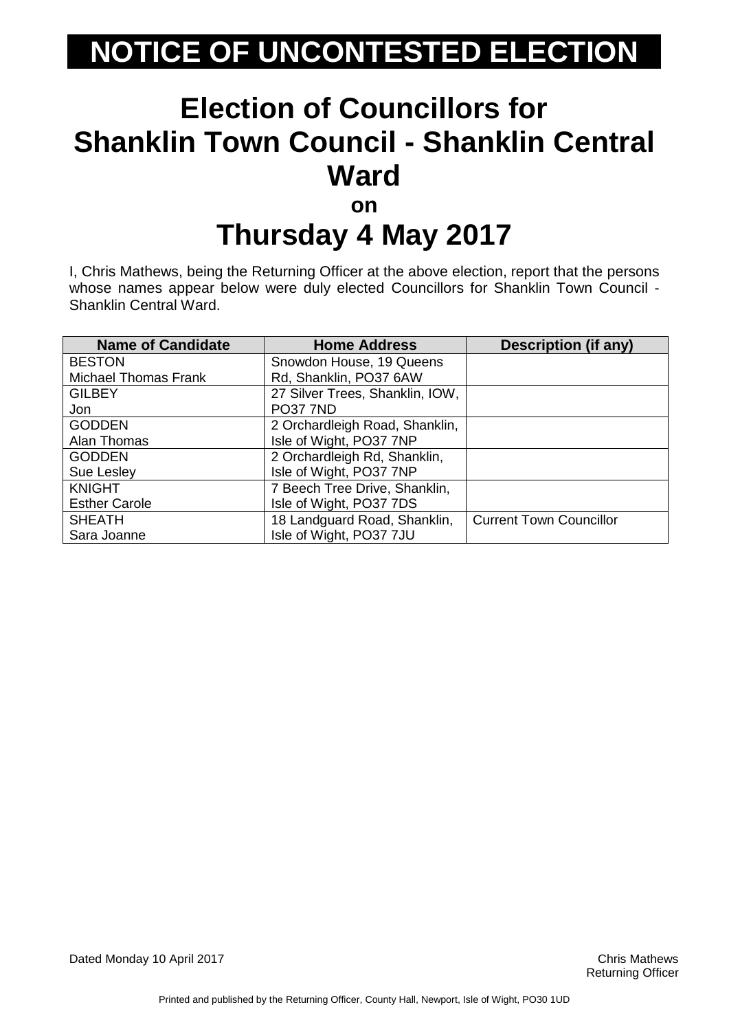#### **Election of Councillors for Shanklin Town Council - Shanklin Central Ward on**

# **Thursday 4 May 2017**

I, Chris Mathews, being the Returning Officer at the above election, report that the persons whose names appear below were duly elected Councillors for Shanklin Town Council - Shanklin Central Ward.

| <b>Name of Candidate</b>    | <b>Home Address</b>             | <b>Description (if any)</b>    |
|-----------------------------|---------------------------------|--------------------------------|
| <b>BESTON</b>               | Snowdon House, 19 Queens        |                                |
| <b>Michael Thomas Frank</b> | Rd, Shanklin, PO37 6AW          |                                |
| <b>GILBEY</b>               | 27 Silver Trees, Shanklin, IOW, |                                |
| Jon                         | <b>PO37 7ND</b>                 |                                |
| <b>GODDEN</b>               | 2 Orchardleigh Road, Shanklin,  |                                |
| Alan Thomas                 | Isle of Wight, PO37 7NP         |                                |
| <b>GODDEN</b>               | 2 Orchardleigh Rd, Shanklin,    |                                |
| Sue Lesley                  | Isle of Wight, PO37 7NP         |                                |
| <b>KNIGHT</b>               | 7 Beech Tree Drive, Shanklin,   |                                |
| <b>Esther Carole</b>        | Isle of Wight, PO37 7DS         |                                |
| <b>SHEATH</b>               | 18 Landguard Road, Shanklin,    | <b>Current Town Councillor</b> |
| Sara Joanne                 | Isle of Wight, PO37 7JU         |                                |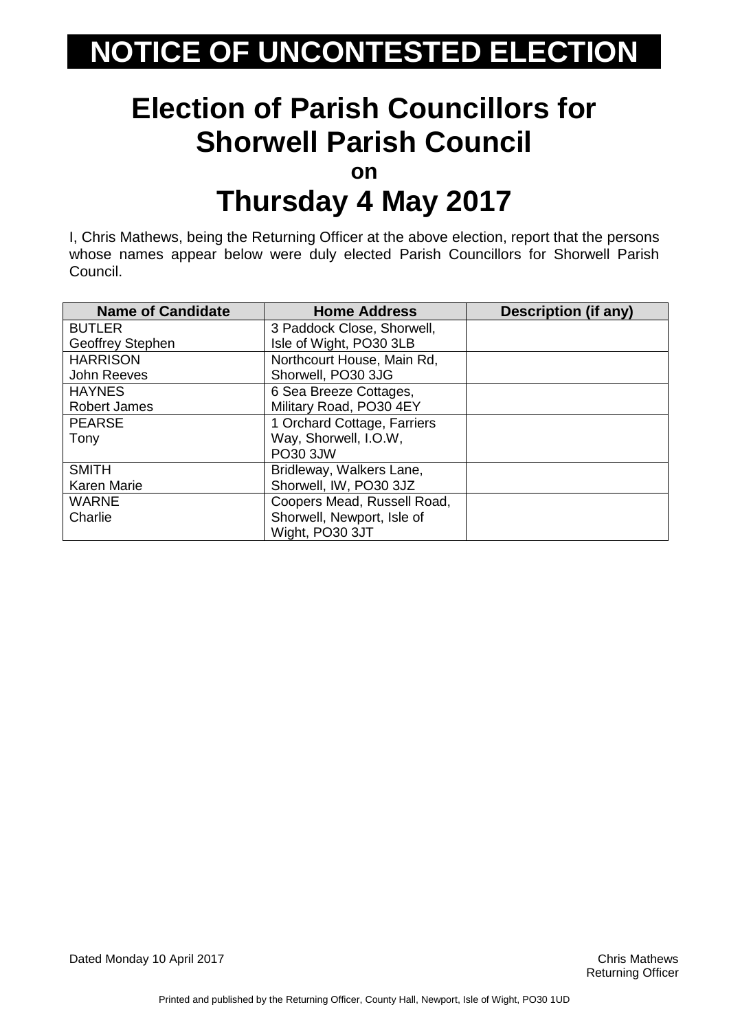# **Election of Parish Councillors for Shorwell Parish Council**

**on**

### **Thursday 4 May 2017**

I, Chris Mathews, being the Returning Officer at the above election, report that the persons whose names appear below were duly elected Parish Councillors for Shorwell Parish Council.

| <b>Name of Candidate</b> | <b>Home Address</b>         | Description (if any) |
|--------------------------|-----------------------------|----------------------|
| <b>BUTLER</b>            | 3 Paddock Close, Shorwell,  |                      |
| Geoffrey Stephen         | Isle of Wight, PO30 3LB     |                      |
| <b>HARRISON</b>          | Northcourt House, Main Rd,  |                      |
| John Reeves              | Shorwell, PO30 3JG          |                      |
| <b>HAYNES</b>            | 6 Sea Breeze Cottages,      |                      |
| <b>Robert James</b>      | Military Road, PO30 4EY     |                      |
| <b>PEARSE</b>            | 1 Orchard Cottage, Farriers |                      |
| Tony                     | Way, Shorwell, I.O.W,       |                      |
|                          | PO30 3JW                    |                      |
| <b>SMITH</b>             | Bridleway, Walkers Lane,    |                      |
| Karen Marie              | Shorwell, IW, PO30 3JZ      |                      |
| <b>WARNE</b>             | Coopers Mead, Russell Road, |                      |
| Charlie                  | Shorwell, Newport, Isle of  |                      |
|                          | Wight, PO30 3JT             |                      |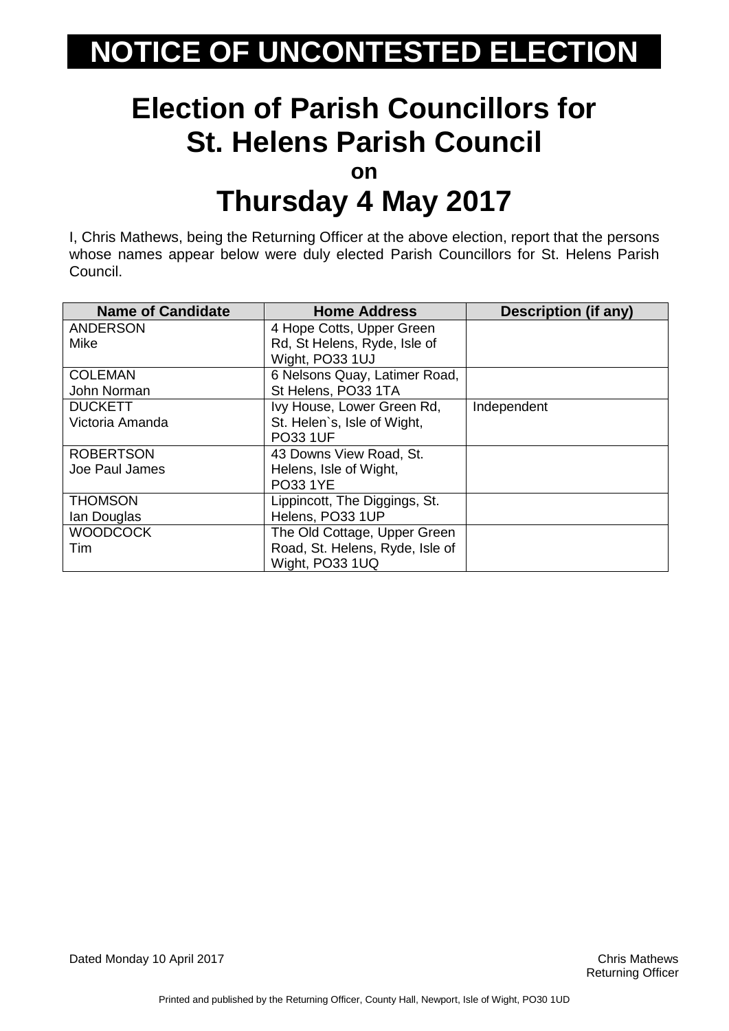# **Election of Parish Councillors for St. Helens Parish Council**

**on**

### **Thursday 4 May 2017**

I, Chris Mathews, being the Returning Officer at the above election, report that the persons whose names appear below were duly elected Parish Councillors for St. Helens Parish Council.

| <b>Name of Candidate</b> | <b>Home Address</b>             | <b>Description (if any)</b> |
|--------------------------|---------------------------------|-----------------------------|
| <b>ANDERSON</b>          | 4 Hope Cotts, Upper Green       |                             |
| <b>Mike</b>              | Rd, St Helens, Ryde, Isle of    |                             |
|                          | Wight, PO33 1UJ                 |                             |
| <b>COLEMAN</b>           | 6 Nelsons Quay, Latimer Road,   |                             |
| John Norman              | St Helens, PO33 1TA             |                             |
| <b>DUCKETT</b>           | Ivy House, Lower Green Rd,      | Independent                 |
| Victoria Amanda          | St. Helen's, Isle of Wight,     |                             |
|                          | <b>PO33 1UF</b>                 |                             |
| <b>ROBERTSON</b>         | 43 Downs View Road, St.         |                             |
| Joe Paul James           | Helens, Isle of Wight,          |                             |
|                          | <b>PO33 1YE</b>                 |                             |
| <b>THOMSON</b>           | Lippincott, The Diggings, St.   |                             |
| Ian Douglas              | Helens, PO33 1UP                |                             |
| <b>WOODCOCK</b>          | The Old Cottage, Upper Green    |                             |
| Tim                      | Road, St. Helens, Ryde, Isle of |                             |
|                          | Wight, PO33 1UQ                 |                             |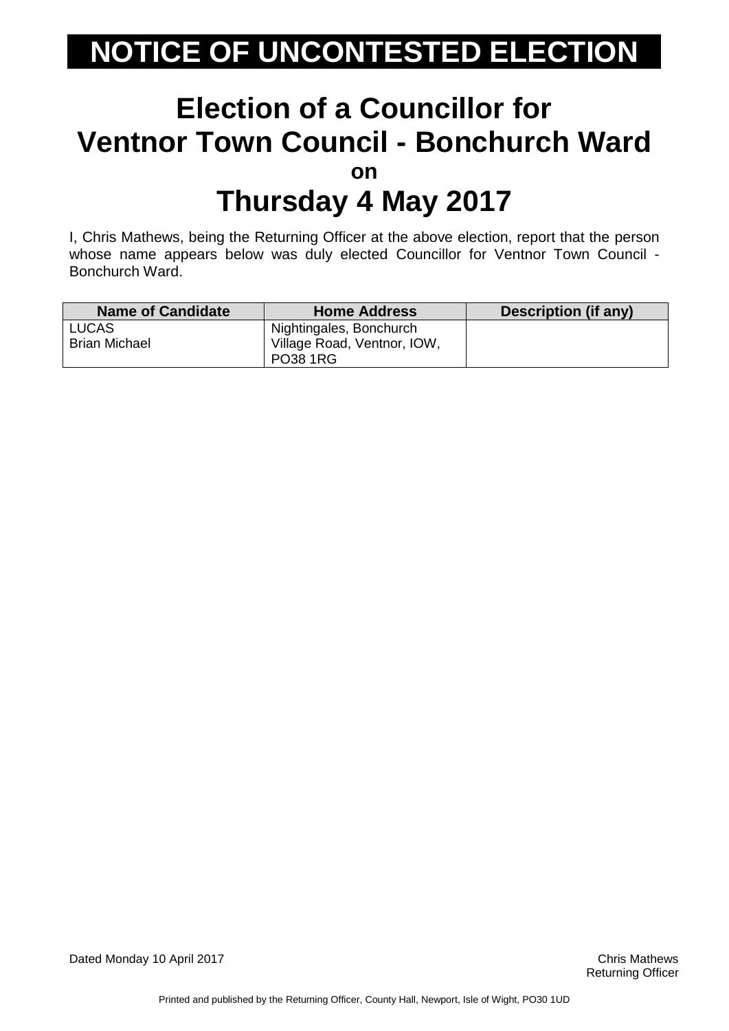#### **Election of a Councillor for Ventnor Town Council - Bonchurch Ward on Thursday 4 May 2017**

I, Chris Mathews, being the Returning Officer at the above election, report that the person whose name appears below was duly elected Councillor for Ventnor Town Council - Bonchurch Ward.

| <b>Name of Candidate</b> | <b>Home Address</b>                            | <b>Description (if any)</b> |
|--------------------------|------------------------------------------------|-----------------------------|
| <b>LUCAS</b>             | Nightingales, Bonchurch                        |                             |
| <b>Brian Michael</b>     | Village Road, Ventnor, IOW.<br><b>PO38 1RG</b> |                             |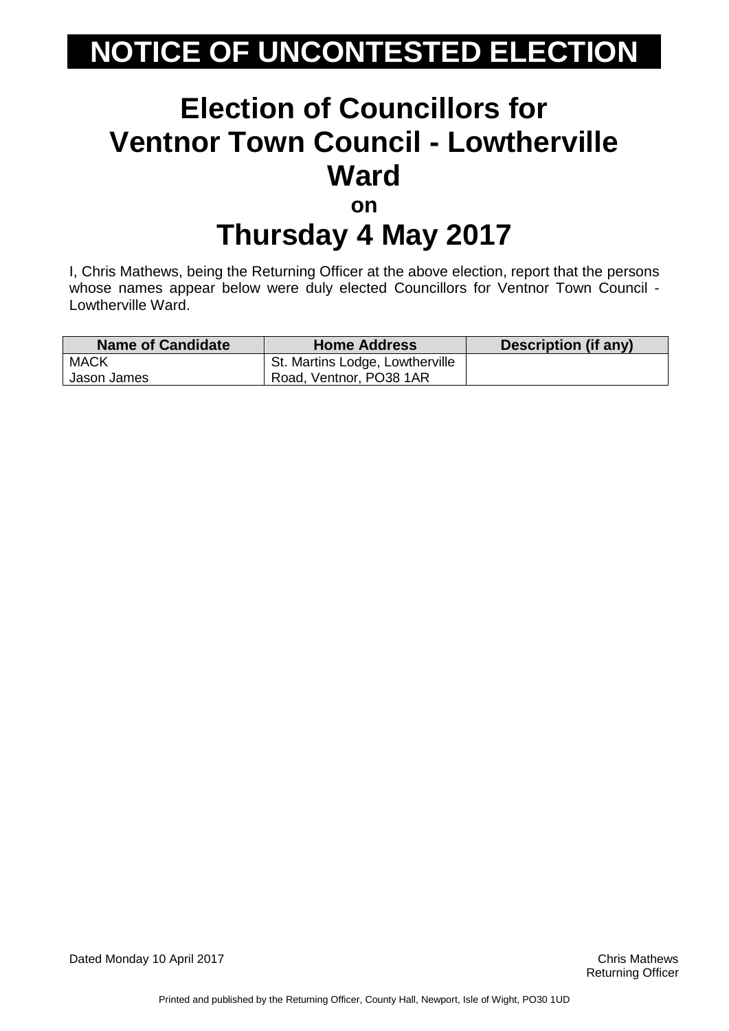### **Election of Councillors for Ventnor Town Council - Lowtherville Ward on**

### **Thursday 4 May 2017**

I, Chris Mathews, being the Returning Officer at the above election, report that the persons whose names appear below were duly elected Councillors for Ventnor Town Council -Lowtherville Ward.

| Name of Candidate | <b>Home Address</b>             | Description (if any) |
|-------------------|---------------------------------|----------------------|
| <b>MACK</b>       | St. Martins Lodge, Lowtherville |                      |
| Jason James       | Road, Ventnor, PO38 1AR         |                      |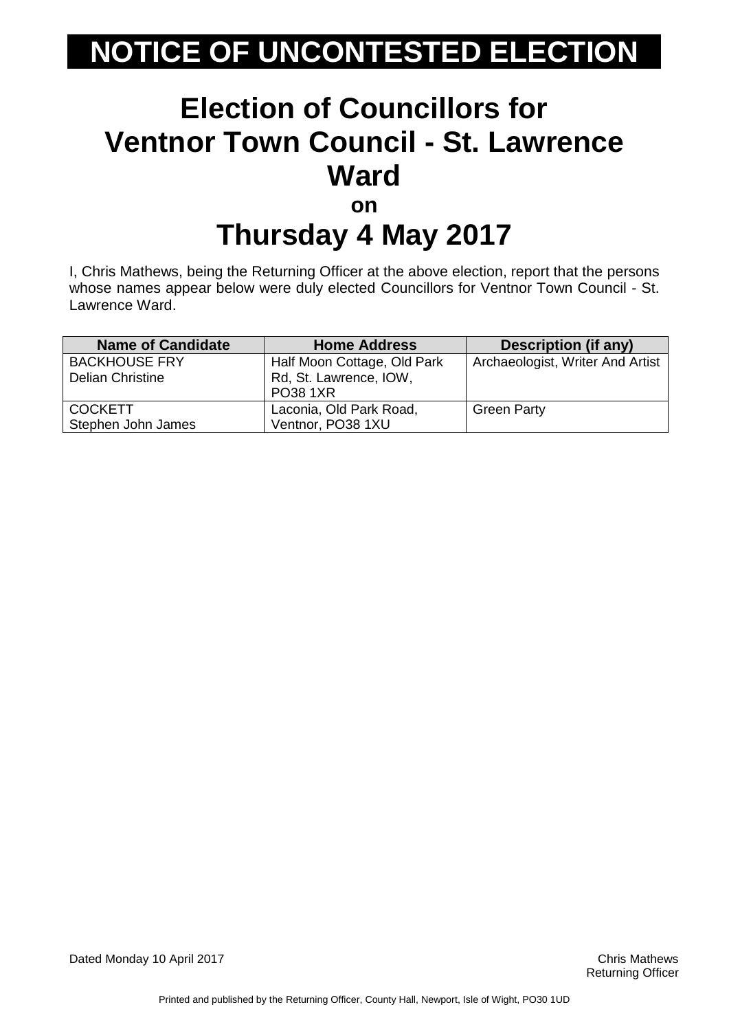#### **Election of Councillors for Ventnor Town Council - St. Lawrence Ward on Thursday 4 May 2017**

I, Chris Mathews, being the Returning Officer at the above election, report that the persons whose names appear below were duly elected Councillors for Ventnor Town Council - St. Lawrence Ward.

| <b>Name of Candidate</b> | <b>Home Address</b>         | Description (if any)             |
|--------------------------|-----------------------------|----------------------------------|
| <b>BACKHOUSE FRY</b>     | Half Moon Cottage, Old Park | Archaeologist, Writer And Artist |
| <b>Delian Christine</b>  | Rd, St. Lawrence, IOW,      |                                  |
|                          | <b>PO38 1XR</b>             |                                  |
| <b>COCKETT</b>           | Laconia, Old Park Road,     | <b>Green Party</b>               |
| Stephen John James       | Ventnor, PO38 1XU           |                                  |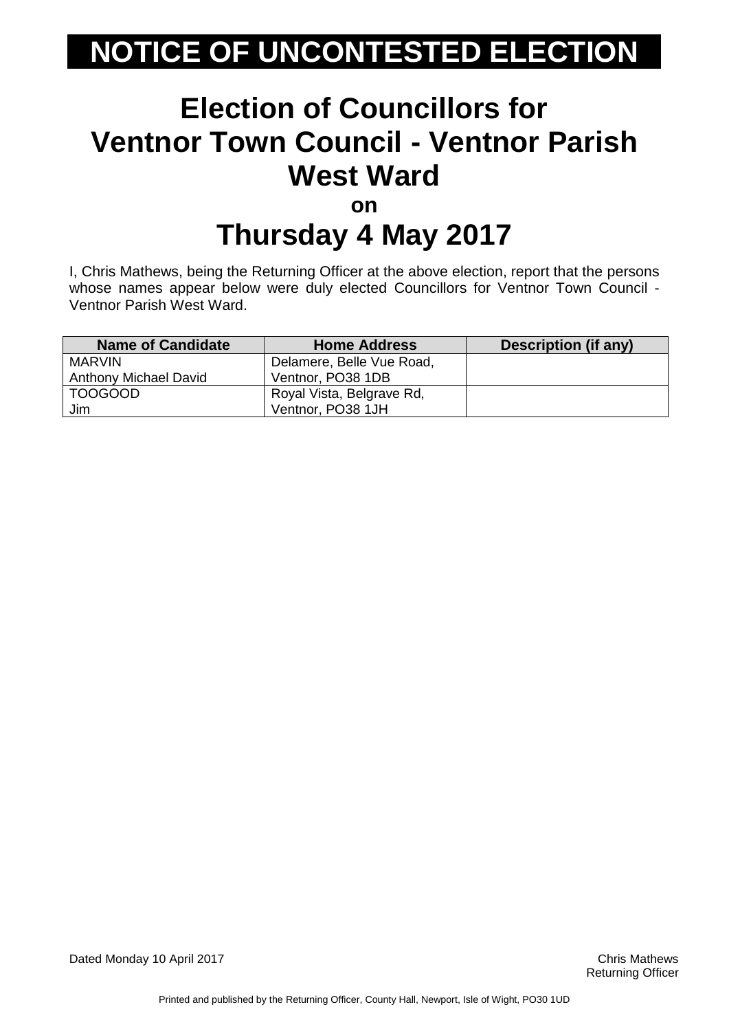#### **Election of Councillors for Ventnor Town Council - Ventnor Parish West Ward on**

# **Thursday 4 May 2017**

I, Chris Mathews, being the Returning Officer at the above election, report that the persons whose names appear below were duly elected Councillors for Ventnor Town Council -Ventnor Parish West Ward.

| <b>Name of Candidate</b>     | <b>Home Address</b>       | Description (if any) |
|------------------------------|---------------------------|----------------------|
| MARVIN                       | Delamere, Belle Vue Road, |                      |
| <b>Anthony Michael David</b> | Ventnor, PO38 1DB         |                      |
| <b>TOOGOOD</b>               | Royal Vista, Belgrave Rd, |                      |
| Jim                          | Ventnor, PO38 1JH         |                      |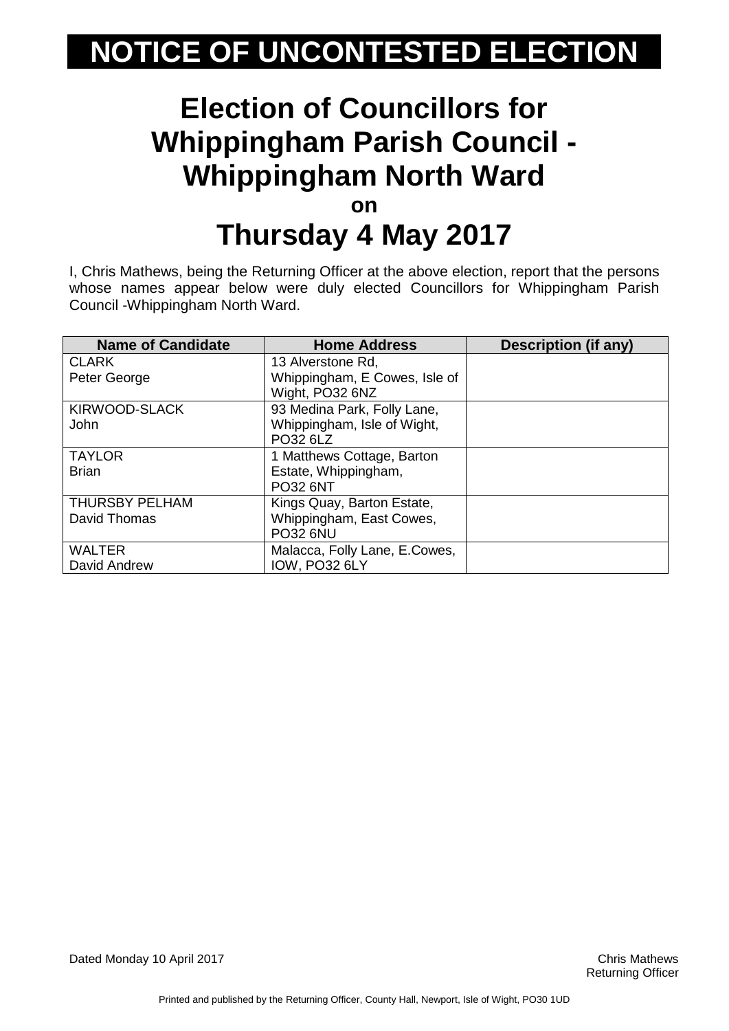#### **Election of Councillors for Whippingham Parish Council - Whippingham North Ward on Thursday 4 May 2017**

I, Chris Mathews, being the Returning Officer at the above election, report that the persons whose names appear below were duly elected Councillors for Whippingham Parish Council -Whippingham North Ward.

| <b>Name of Candidate</b> | <b>Home Address</b>           | <b>Description (if any)</b> |
|--------------------------|-------------------------------|-----------------------------|
| <b>CLARK</b>             | 13 Alverstone Rd,             |                             |
| Peter George             | Whippingham, E Cowes, Isle of |                             |
|                          | Wight, PO32 6NZ               |                             |
| KIRWOOD-SLACK            | 93 Medina Park, Folly Lane,   |                             |
| John                     | Whippingham, Isle of Wight,   |                             |
|                          | PO32 6LZ                      |                             |
| <b>TAYLOR</b>            | 1 Matthews Cottage, Barton    |                             |
| <b>Brian</b>             | Estate, Whippingham,          |                             |
|                          | <b>PO32 6NT</b>               |                             |
| <b>THURSBY PELHAM</b>    | Kings Quay, Barton Estate,    |                             |
| David Thomas             | Whippingham, East Cowes,      |                             |
|                          | <b>PO32 6NU</b>               |                             |
| <b>WALTER</b>            | Malacca, Folly Lane, E.Cowes, |                             |
| David Andrew             | IOW, PO32 6LY                 |                             |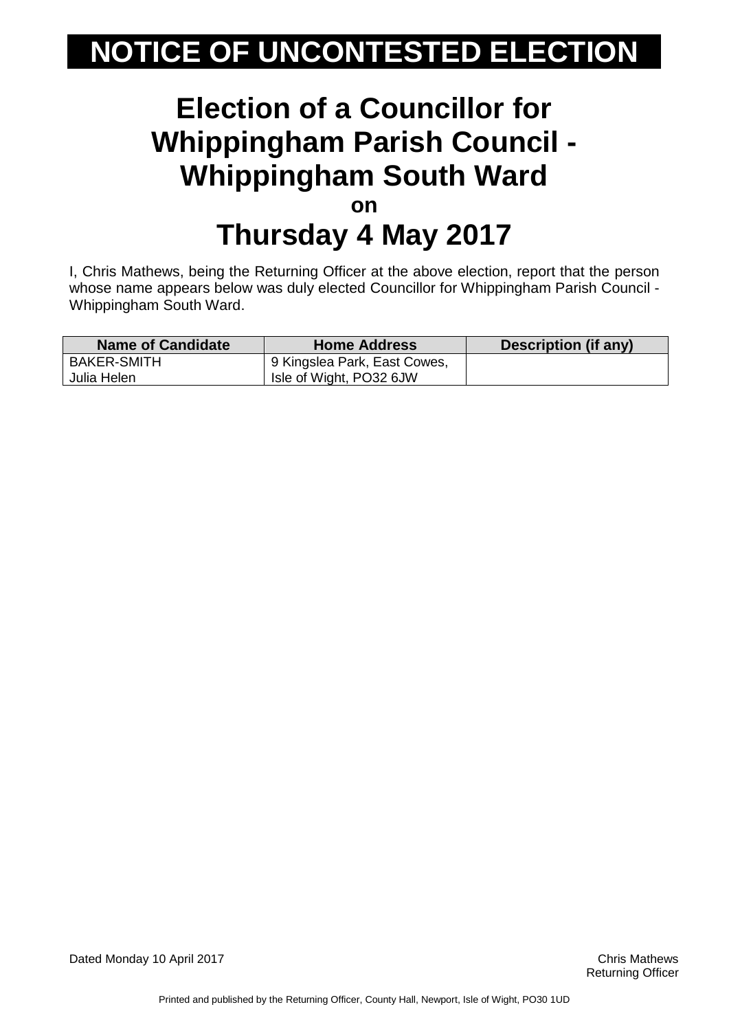#### **Election of a Councillor for Whippingham Parish Council - Whippingham South Ward on Thursday 4 May 2017**

I, Chris Mathews, being the Returning Officer at the above election, report that the person whose name appears below was duly elected Councillor for Whippingham Parish Council - Whippingham South Ward.

| <b>Name of Candidate</b> | <b>Home Address</b>          | Description (if any) |
|--------------------------|------------------------------|----------------------|
| <b>BAKER-SMITH</b>       | 9 Kingslea Park, East Cowes, |                      |
| Julia Helen              | Isle of Wight, PO32 6JW      |                      |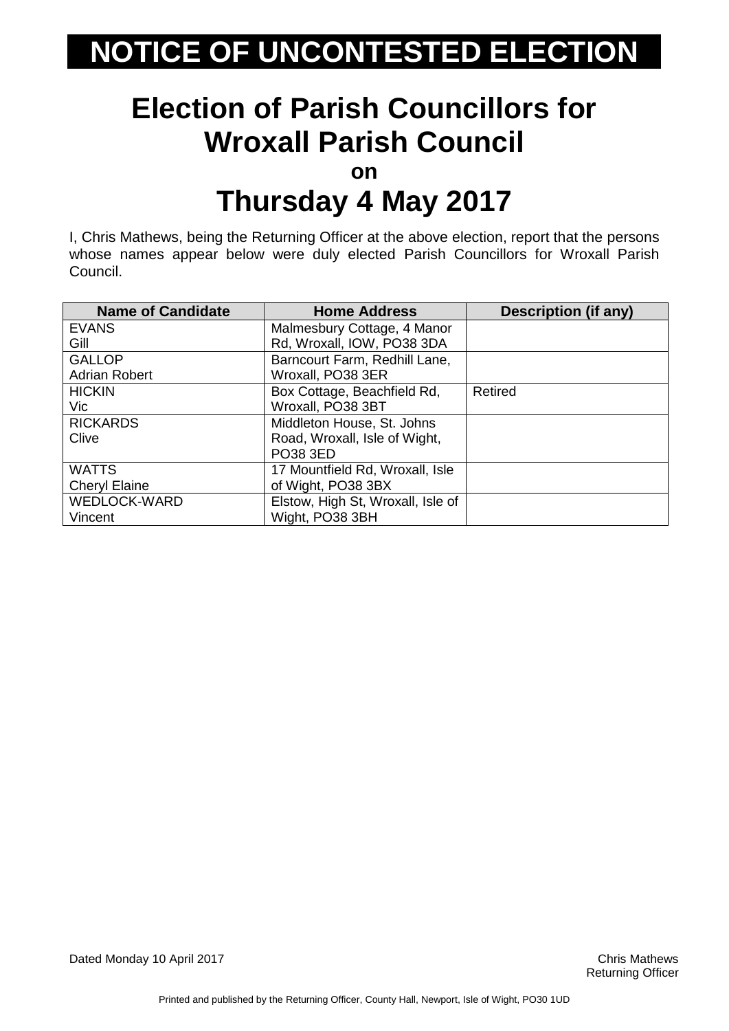### **Election of Parish Councillors for Wroxall Parish Council**

**on**

### **Thursday 4 May 2017**

I, Chris Mathews, being the Returning Officer at the above election, report that the persons whose names appear below were duly elected Parish Councillors for Wroxall Parish Council.

| <b>Name of Candidate</b> | <b>Home Address</b>               | <b>Description (if any)</b> |
|--------------------------|-----------------------------------|-----------------------------|
| <b>EVANS</b>             | Malmesbury Cottage, 4 Manor       |                             |
| Gill                     | Rd, Wroxall, IOW, PO38 3DA        |                             |
| <b>GALLOP</b>            | Barncourt Farm, Redhill Lane,     |                             |
| <b>Adrian Robert</b>     | Wroxall, PO38 3ER                 |                             |
| <b>HICKIN</b>            | Box Cottage, Beachfield Rd,       | Retired                     |
| Vic                      | Wroxall, PO38 3BT                 |                             |
| <b>RICKARDS</b>          | Middleton House, St. Johns        |                             |
| Clive                    | Road, Wroxall, Isle of Wight,     |                             |
|                          | PO38 3ED                          |                             |
| <b>WATTS</b>             | 17 Mountfield Rd, Wroxall, Isle   |                             |
| <b>Cheryl Elaine</b>     | of Wight, PO38 3BX                |                             |
| <b>WEDLOCK-WARD</b>      | Elstow, High St, Wroxall, Isle of |                             |
| Vincent                  | Wight, PO38 3BH                   |                             |